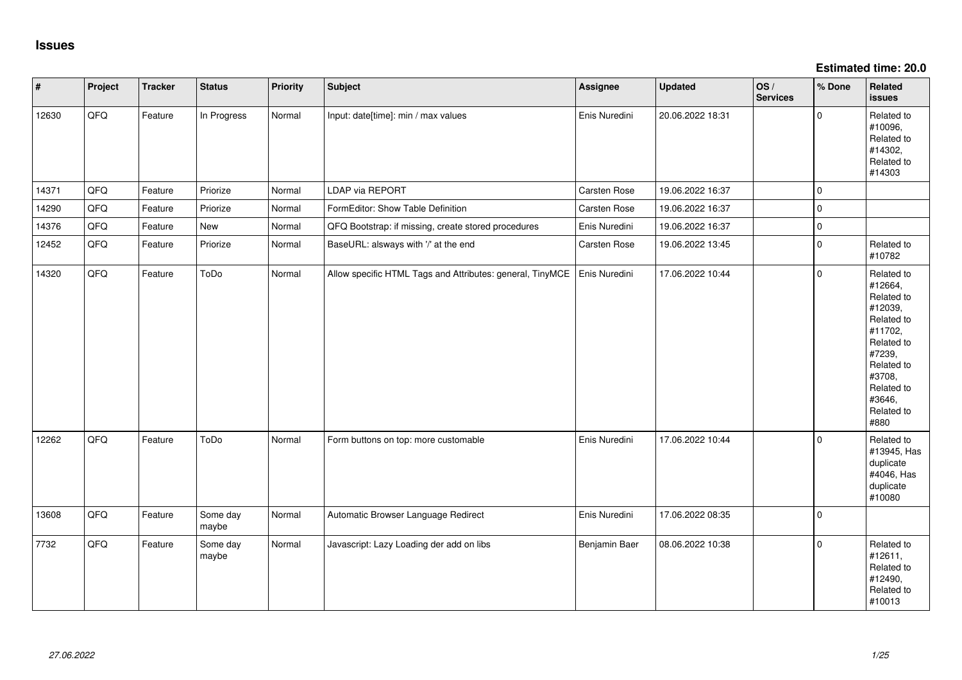**Estimated time: 20.0**

| $\vert$ # | Project | <b>Tracker</b> | <b>Status</b>     | <b>Priority</b> | Subject                                                   | Assignee            | <b>Updated</b>   | OS/<br><b>Services</b> | % Done      | Related<br>issues                                                                                                                                                     |
|-----------|---------|----------------|-------------------|-----------------|-----------------------------------------------------------|---------------------|------------------|------------------------|-------------|-----------------------------------------------------------------------------------------------------------------------------------------------------------------------|
| 12630     | QFQ     | Feature        | In Progress       | Normal          | Input: date[time]: min / max values                       | Enis Nuredini       | 20.06.2022 18:31 |                        | $\mathbf 0$ | Related to<br>#10096,<br>Related to<br>#14302,<br>Related to<br>#14303                                                                                                |
| 14371     | QFQ     | Feature        | Priorize          | Normal          | LDAP via REPORT                                           | <b>Carsten Rose</b> | 19.06.2022 16:37 |                        | $\mathbf 0$ |                                                                                                                                                                       |
| 14290     | QFQ     | Feature        | Priorize          | Normal          | FormEditor: Show Table Definition                         | Carsten Rose        | 19.06.2022 16:37 |                        | $\pmb{0}$   |                                                                                                                                                                       |
| 14376     | QFQ     | Feature        | New               | Normal          | QFQ Bootstrap: if missing, create stored procedures       | Enis Nuredini       | 19.06.2022 16:37 |                        | $\mathbf 0$ |                                                                                                                                                                       |
| 12452     | QFQ     | Feature        | Priorize          | Normal          | BaseURL: alsways with '/' at the end                      | Carsten Rose        | 19.06.2022 13:45 |                        | $\pmb{0}$   | Related to<br>#10782                                                                                                                                                  |
| 14320     | QFQ     | Feature        | ToDo              | Normal          | Allow specific HTML Tags and Attributes: general, TinyMCE | Enis Nuredini       | 17.06.2022 10:44 |                        | $\mathbf 0$ | Related to<br>#12664,<br>Related to<br>#12039,<br>Related to<br>#11702,<br>Related to<br>#7239,<br>Related to<br>#3708,<br>Related to<br>#3646,<br>Related to<br>#880 |
| 12262     | QFQ     | Feature        | ToDo              | Normal          | Form buttons on top: more customable                      | Enis Nuredini       | 17.06.2022 10:44 |                        | $\mathbf 0$ | Related to<br>#13945, Has<br>duplicate<br>#4046, Has<br>duplicate<br>#10080                                                                                           |
| 13608     | QFQ     | Feature        | Some day<br>maybe | Normal          | Automatic Browser Language Redirect                       | Enis Nuredini       | 17.06.2022 08:35 |                        | $\mathbf 0$ |                                                                                                                                                                       |
| 7732      | QFQ     | Feature        | Some day<br>maybe | Normal          | Javascript: Lazy Loading der add on libs                  | Benjamin Baer       | 08.06.2022 10:38 |                        | $\mathbf 0$ | Related to<br>#12611,<br>Related to<br>#12490,<br>Related to<br>#10013                                                                                                |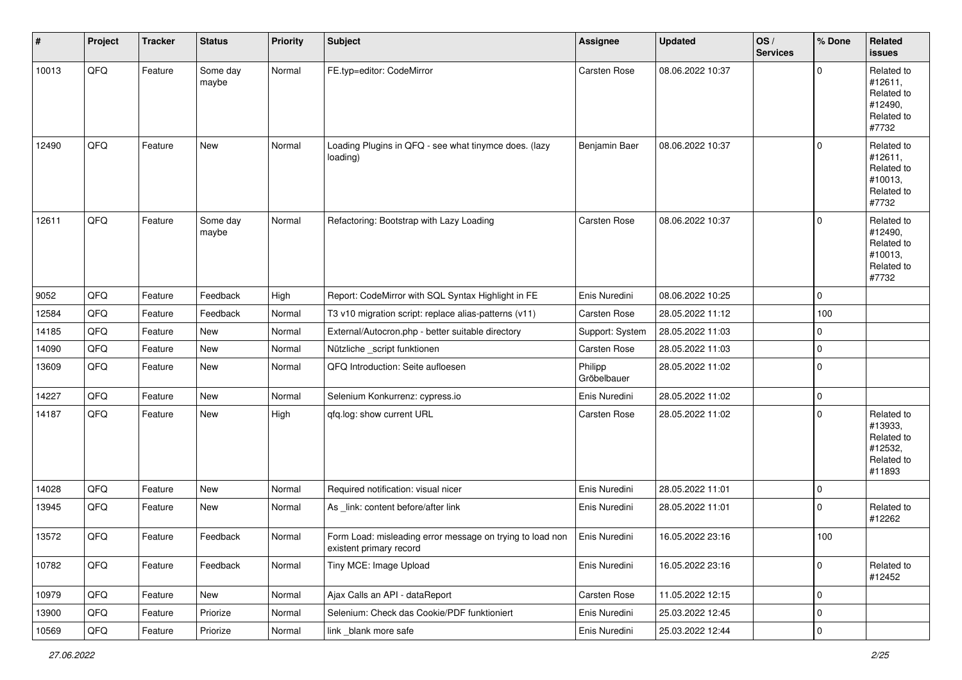| $\vert$ # | Project | <b>Tracker</b> | <b>Status</b>     | Priority | <b>Subject</b>                                                                       | <b>Assignee</b>        | <b>Updated</b>   | OS/<br><b>Services</b> | % Done      | Related<br><b>issues</b>                                               |
|-----------|---------|----------------|-------------------|----------|--------------------------------------------------------------------------------------|------------------------|------------------|------------------------|-------------|------------------------------------------------------------------------|
| 10013     | QFQ     | Feature        | Some day<br>maybe | Normal   | FE.typ=editor: CodeMirror                                                            | Carsten Rose           | 08.06.2022 10:37 |                        | $\mathbf 0$ | Related to<br>#12611,<br>Related to<br>#12490,<br>Related to<br>#7732  |
| 12490     | QFQ     | Feature        | New               | Normal   | Loading Plugins in QFQ - see what tinymce does. (lazy<br>loading)                    | Benjamin Baer          | 08.06.2022 10:37 |                        | $\mathbf 0$ | Related to<br>#12611,<br>Related to<br>#10013,<br>Related to<br>#7732  |
| 12611     | QFQ     | Feature        | Some day<br>maybe | Normal   | Refactoring: Bootstrap with Lazy Loading                                             | Carsten Rose           | 08.06.2022 10:37 |                        | $\mathbf 0$ | Related to<br>#12490,<br>Related to<br>#10013,<br>Related to<br>#7732  |
| 9052      | QFQ     | Feature        | Feedback          | High     | Report: CodeMirror with SQL Syntax Highlight in FE                                   | Enis Nuredini          | 08.06.2022 10:25 |                        | $\mathbf 0$ |                                                                        |
| 12584     | QFQ     | Feature        | Feedback          | Normal   | T3 v10 migration script: replace alias-patterns (v11)                                | Carsten Rose           | 28.05.2022 11:12 |                        | 100         |                                                                        |
| 14185     | QFQ     | Feature        | <b>New</b>        | Normal   | External/Autocron.php - better suitable directory                                    | Support: System        | 28.05.2022 11:03 |                        | 0           |                                                                        |
| 14090     | QFQ     | Feature        | New               | Normal   | Nützliche _script funktionen                                                         | Carsten Rose           | 28.05.2022 11:03 |                        | $\mathbf 0$ |                                                                        |
| 13609     | QFQ     | Feature        | New               | Normal   | QFQ Introduction: Seite aufloesen                                                    | Philipp<br>Gröbelbauer | 28.05.2022 11:02 |                        | 0           |                                                                        |
| 14227     | QFQ     | Feature        | New               | Normal   | Selenium Konkurrenz: cypress.io                                                      | Enis Nuredini          | 28.05.2022 11:02 |                        | $\pmb{0}$   |                                                                        |
| 14187     | QFQ     | Feature        | New               | High     | qfq.log: show current URL                                                            | Carsten Rose           | 28.05.2022 11:02 |                        | $\mathbf 0$ | Related to<br>#13933,<br>Related to<br>#12532,<br>Related to<br>#11893 |
| 14028     | QFQ     | Feature        | <b>New</b>        | Normal   | Required notification: visual nicer                                                  | Enis Nuredini          | 28.05.2022 11:01 |                        | $\mathbf 0$ |                                                                        |
| 13945     | QFQ     | Feature        | New               | Normal   | As _link: content before/after link                                                  | Enis Nuredini          | 28.05.2022 11:01 |                        | 0           | Related to<br>#12262                                                   |
| 13572     | QFQ     | Feature        | Feedback          | Normal   | Form Load: misleading error message on trying to load non<br>existent primary record | Enis Nuredini          | 16.05.2022 23:16 |                        | 100         |                                                                        |
| 10782     | QFQ     | Feature        | Feedback          | Normal   | Tiny MCE: Image Upload                                                               | Enis Nuredini          | 16.05.2022 23:16 |                        | $\mathbf 0$ | Related to<br>#12452                                                   |
| 10979     | QFQ     | Feature        | New               | Normal   | Ajax Calls an API - dataReport                                                       | Carsten Rose           | 11.05.2022 12:15 |                        | $\mathbf 0$ |                                                                        |
| 13900     | QFQ     | Feature        | Priorize          | Normal   | Selenium: Check das Cookie/PDF funktioniert                                          | Enis Nuredini          | 25.03.2022 12:45 |                        | $\mathsf 0$ |                                                                        |
| 10569     | QFG     | Feature        | Priorize          | Normal   | link _blank more safe                                                                | Enis Nuredini          | 25.03.2022 12:44 |                        | $\pmb{0}$   |                                                                        |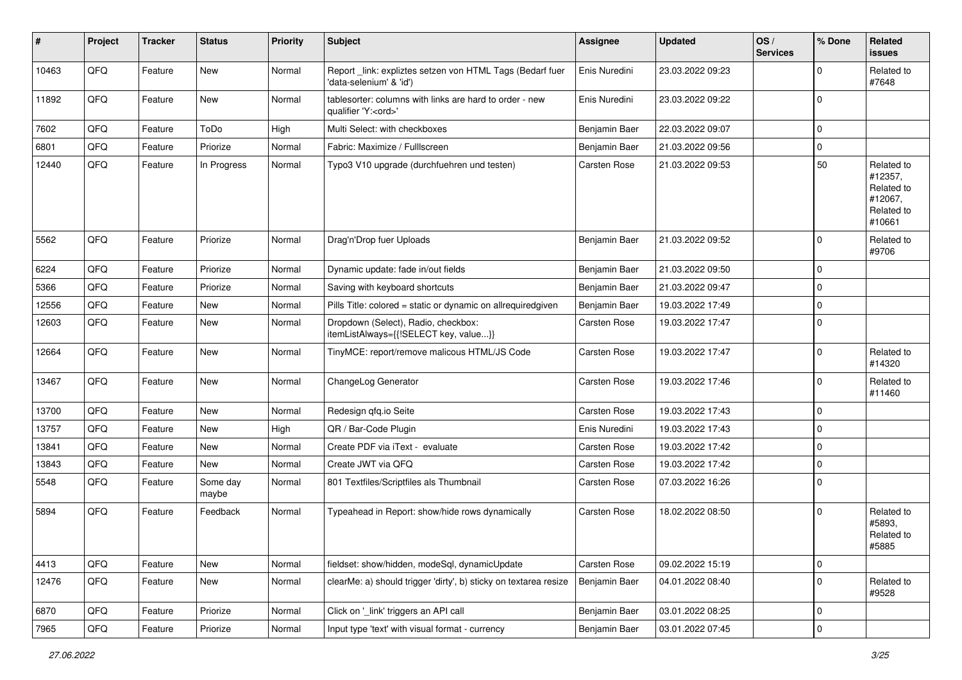| #     | Project | <b>Tracker</b> | <b>Status</b>     | <b>Priority</b> | Subject                                                                               | <b>Assignee</b> | <b>Updated</b>   | OS/<br><b>Services</b> | % Done      | Related<br><b>issues</b>                                               |
|-------|---------|----------------|-------------------|-----------------|---------------------------------------------------------------------------------------|-----------------|------------------|------------------------|-------------|------------------------------------------------------------------------|
| 10463 | QFQ     | Feature        | <b>New</b>        | Normal          | Report _link: expliztes setzen von HTML Tags (Bedarf fuer<br>'data-selenium' & 'id')  | Enis Nuredini   | 23.03.2022 09:23 |                        | 0           | Related to<br>#7648                                                    |
| 11892 | QFQ     | Feature        | <b>New</b>        | Normal          | tablesorter: columns with links are hard to order - new<br>qualifier 'Y: <ord>'</ord> | Enis Nuredini   | 23.03.2022 09:22 |                        | 0           |                                                                        |
| 7602  | QFQ     | Feature        | ToDo              | High            | Multi Select: with checkboxes                                                         | Benjamin Baer   | 22.03.2022 09:07 |                        | 0           |                                                                        |
| 6801  | QFQ     | Feature        | Priorize          | Normal          | Fabric: Maximize / Fulllscreen                                                        | Benjamin Baer   | 21.03.2022 09:56 |                        | 0           |                                                                        |
| 12440 | QFQ     | Feature        | In Progress       | Normal          | Typo3 V10 upgrade (durchfuehren und testen)                                           | Carsten Rose    | 21.03.2022 09:53 |                        | 50          | Related to<br>#12357,<br>Related to<br>#12067,<br>Related to<br>#10661 |
| 5562  | QFQ     | Feature        | Priorize          | Normal          | Drag'n'Drop fuer Uploads                                                              | Benjamin Baer   | 21.03.2022 09:52 |                        | 0           | Related to<br>#9706                                                    |
| 6224  | QFQ     | Feature        | Priorize          | Normal          | Dynamic update: fade in/out fields                                                    | Benjamin Baer   | 21.03.2022 09:50 |                        | $\mathbf 0$ |                                                                        |
| 5366  | QFQ     | Feature        | Priorize          | Normal          | Saving with keyboard shortcuts                                                        | Benjamin Baer   | 21.03.2022 09:47 |                        | 0           |                                                                        |
| 12556 | QFQ     | Feature        | <b>New</b>        | Normal          | Pills Title: colored = static or dynamic on allrequiredgiven                          | Benjamin Baer   | 19.03.2022 17:49 |                        | $\mathbf 0$ |                                                                        |
| 12603 | QFQ     | Feature        | New               | Normal          | Dropdown (Select), Radio, checkbox:<br>itemListAlways={{!SELECT key, value}}          | Carsten Rose    | 19.03.2022 17:47 |                        | 0           |                                                                        |
| 12664 | QFQ     | Feature        | <b>New</b>        | Normal          | TinyMCE: report/remove malicous HTML/JS Code                                          | Carsten Rose    | 19.03.2022 17:47 |                        | $\Omega$    | Related to<br>#14320                                                   |
| 13467 | QFQ     | Feature        | New               | Normal          | ChangeLog Generator                                                                   | Carsten Rose    | 19.03.2022 17:46 |                        | $\Omega$    | Related to<br>#11460                                                   |
| 13700 | QFQ     | Feature        | New               | Normal          | Redesign gfg.io Seite                                                                 | Carsten Rose    | 19.03.2022 17:43 |                        | $\mathbf 0$ |                                                                        |
| 13757 | QFQ     | Feature        | New               | High            | QR / Bar-Code Plugin                                                                  | Enis Nuredini   | 19.03.2022 17:43 |                        | 0           |                                                                        |
| 13841 | QFQ     | Feature        | New               | Normal          | Create PDF via iText - evaluate                                                       | Carsten Rose    | 19.03.2022 17:42 |                        | 0           |                                                                        |
| 13843 | QFQ     | Feature        | New               | Normal          | Create JWT via QFQ                                                                    | Carsten Rose    | 19.03.2022 17:42 |                        | 0           |                                                                        |
| 5548  | QFQ     | Feature        | Some day<br>maybe | Normal          | 801 Textfiles/Scriptfiles als Thumbnail                                               | Carsten Rose    | 07.03.2022 16:26 |                        | $\mathbf 0$ |                                                                        |
| 5894  | QFQ     | Feature        | Feedback          | Normal          | Typeahead in Report: show/hide rows dynamically                                       | Carsten Rose    | 18.02.2022 08:50 |                        | $\Omega$    | Related to<br>#5893.<br>Related to<br>#5885                            |
| 4413  | QFQ     | Feature        | New               | Normal          | fieldset: show/hidden, modeSql, dynamicUpdate                                         | Carsten Rose    | 09.02.2022 15:19 |                        | $\mathbf 0$ |                                                                        |
| 12476 | QFQ     | Feature        | New               | Normal          | clearMe: a) should trigger 'dirty', b) sticky on textarea resize                      | Benjamin Baer   | 04.01.2022 08:40 |                        | $\pmb{0}$   | Related to<br>#9528                                                    |
| 6870  | QFQ     | Feature        | Priorize          | Normal          | Click on '_link' triggers an API call                                                 | Benjamin Baer   | 03.01.2022 08:25 |                        | $\mathbf 0$ |                                                                        |
| 7965  | QFG     | Feature        | Priorize          | Normal          | Input type 'text' with visual format - currency                                       | Benjamin Baer   | 03.01.2022 07:45 |                        | $\pmb{0}$   |                                                                        |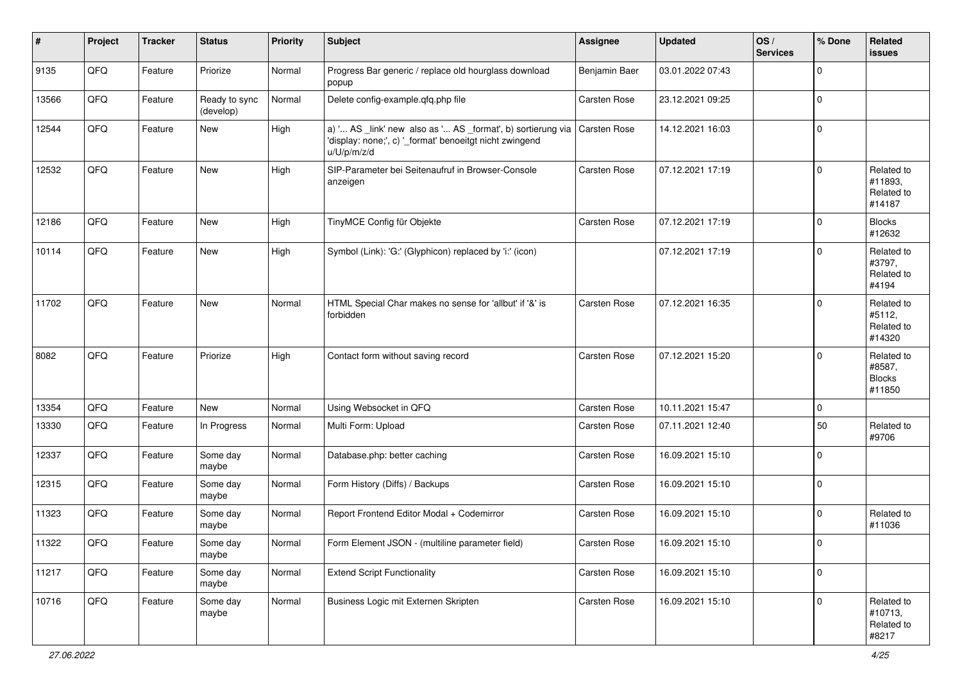| #     | Project | <b>Tracker</b> | <b>Status</b>              | <b>Priority</b> | <b>Subject</b>                                                                                                                        | <b>Assignee</b>     | <b>Updated</b>   | OS/<br><b>Services</b> | % Done      | Related<br><b>issues</b>                        |
|-------|---------|----------------|----------------------------|-----------------|---------------------------------------------------------------------------------------------------------------------------------------|---------------------|------------------|------------------------|-------------|-------------------------------------------------|
| 9135  | QFQ     | Feature        | Priorize                   | Normal          | Progress Bar generic / replace old hourglass download<br>popup                                                                        | Benjamin Baer       | 03.01.2022 07:43 |                        | $\Omega$    |                                                 |
| 13566 | QFQ     | Feature        | Ready to sync<br>(develop) | Normal          | Delete config-example.qfq.php file                                                                                                    | Carsten Rose        | 23.12.2021 09:25 |                        | $\Omega$    |                                                 |
| 12544 | QFQ     | Feature        | <b>New</b>                 | High            | a) ' AS _link' new also as ' AS _format', b) sortierung via<br>'display: none;', c) '_format' benoeitgt nicht zwingend<br>u/U/p/m/z/d | Carsten Rose        | 14.12.2021 16:03 |                        | $\Omega$    |                                                 |
| 12532 | QFQ     | Feature        | New                        | High            | SIP-Parameter bei Seitenaufruf in Browser-Console<br>anzeigen                                                                         | <b>Carsten Rose</b> | 07.12.2021 17:19 |                        | $\Omega$    | Related to<br>#11893.<br>Related to<br>#14187   |
| 12186 | QFQ     | Feature        | <b>New</b>                 | High            | TinyMCE Config für Objekte                                                                                                            | Carsten Rose        | 07.12.2021 17:19 |                        | $\Omega$    | <b>Blocks</b><br>#12632                         |
| 10114 | QFQ     | Feature        | New                        | High            | Symbol (Link): 'G:' (Glyphicon) replaced by 'i:' (icon)                                                                               |                     | 07.12.2021 17:19 |                        | $\mathbf 0$ | Related to<br>#3797,<br>Related to<br>#4194     |
| 11702 | QFQ     | Feature        | New                        | Normal          | HTML Special Char makes no sense for 'allbut' if '&' is<br>forbidden                                                                  | <b>Carsten Rose</b> | 07.12.2021 16:35 |                        | $\Omega$    | Related to<br>#5112,<br>Related to<br>#14320    |
| 8082  | QFQ     | Feature        | Priorize                   | High            | Contact form without saving record                                                                                                    | Carsten Rose        | 07.12.2021 15:20 |                        | $\Omega$    | Related to<br>#8587,<br><b>Blocks</b><br>#11850 |
| 13354 | QFQ     | Feature        | New                        | Normal          | Using Websocket in QFQ                                                                                                                | Carsten Rose        | 10.11.2021 15:47 |                        | $\mathbf 0$ |                                                 |
| 13330 | QFQ     | Feature        | In Progress                | Normal          | Multi Form: Upload                                                                                                                    | Carsten Rose        | 07.11.2021 12:40 |                        | 50          | Related to<br>#9706                             |
| 12337 | QFQ     | Feature        | Some day<br>maybe          | Normal          | Database.php: better caching                                                                                                          | Carsten Rose        | 16.09.2021 15:10 |                        | $\mathbf 0$ |                                                 |
| 12315 | QFQ     | Feature        | Some day<br>maybe          | Normal          | Form History (Diffs) / Backups                                                                                                        | Carsten Rose        | 16.09.2021 15:10 |                        | $\mathbf 0$ |                                                 |
| 11323 | QFQ     | Feature        | Some day<br>maybe          | Normal          | Report Frontend Editor Modal + Codemirror                                                                                             | Carsten Rose        | 16.09.2021 15:10 |                        | 0           | Related to<br>#11036                            |
| 11322 | QFQ     | Feature        | Some day<br>maybe          | Normal          | Form Element JSON - (multiline parameter field)                                                                                       | Carsten Rose        | 16.09.2021 15:10 |                        | $\Omega$    |                                                 |
| 11217 | QFQ     | Feature        | Some day<br>maybe          | Normal          | <b>Extend Script Functionality</b>                                                                                                    | Carsten Rose        | 16.09.2021 15:10 |                        | $\mathbf 0$ |                                                 |
| 10716 | QFQ     | Feature        | Some day<br>maybe          | Normal          | Business Logic mit Externen Skripten                                                                                                  | Carsten Rose        | 16.09.2021 15:10 |                        | $\mathbf 0$ | Related to<br>#10713,<br>Related to<br>#8217    |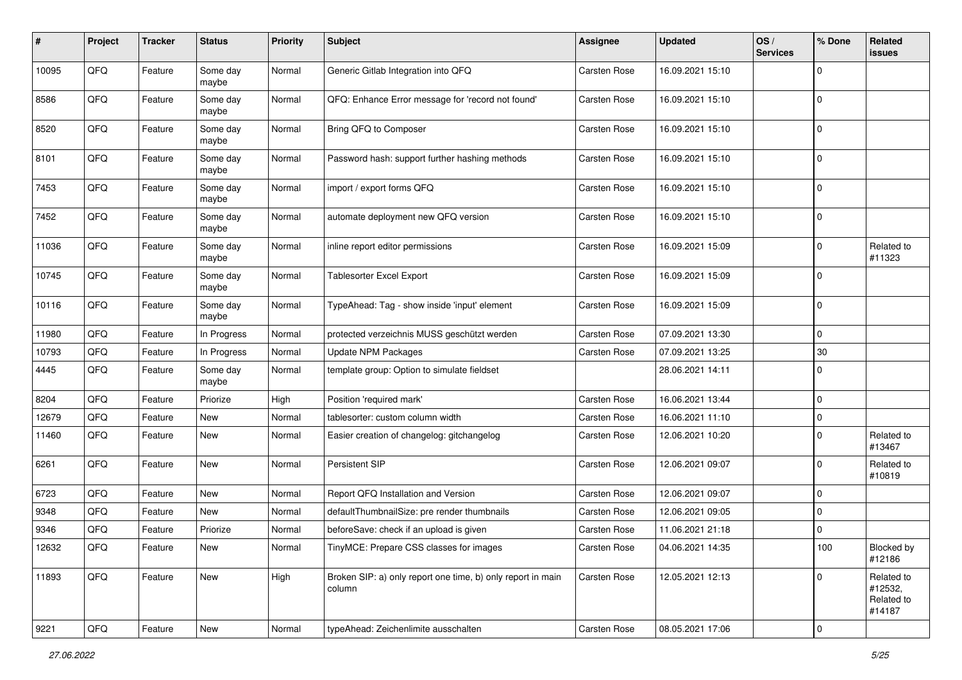| #     | Project | <b>Tracker</b> | <b>Status</b>     | <b>Priority</b> | <b>Subject</b>                                                        | <b>Assignee</b> | <b>Updated</b>   | OS/<br><b>Services</b> | % Done      | Related<br>issues                             |
|-------|---------|----------------|-------------------|-----------------|-----------------------------------------------------------------------|-----------------|------------------|------------------------|-------------|-----------------------------------------------|
| 10095 | QFQ     | Feature        | Some day<br>maybe | Normal          | Generic Gitlab Integration into QFQ                                   | Carsten Rose    | 16.09.2021 15:10 |                        | $\mathbf 0$ |                                               |
| 8586  | QFQ     | Feature        | Some day<br>maybe | Normal          | QFQ: Enhance Error message for 'record not found'                     | Carsten Rose    | 16.09.2021 15:10 |                        | $\mathbf 0$ |                                               |
| 8520  | QFQ     | Feature        | Some day<br>maybe | Normal          | Bring QFQ to Composer                                                 | Carsten Rose    | 16.09.2021 15:10 |                        | $\mathbf 0$ |                                               |
| 8101  | QFQ     | Feature        | Some day<br>maybe | Normal          | Password hash: support further hashing methods                        | Carsten Rose    | 16.09.2021 15:10 |                        | $\mathbf 0$ |                                               |
| 7453  | QFQ     | Feature        | Some day<br>maybe | Normal          | import / export forms QFQ                                             | Carsten Rose    | 16.09.2021 15:10 |                        | $\mathbf 0$ |                                               |
| 7452  | QFQ     | Feature        | Some day<br>maybe | Normal          | automate deployment new QFQ version                                   | Carsten Rose    | 16.09.2021 15:10 |                        | $\mathbf 0$ |                                               |
| 11036 | QFQ     | Feature        | Some day<br>maybe | Normal          | inline report editor permissions                                      | Carsten Rose    | 16.09.2021 15:09 |                        | $\mathbf 0$ | Related to<br>#11323                          |
| 10745 | QFQ     | Feature        | Some day<br>maybe | Normal          | Tablesorter Excel Export                                              | Carsten Rose    | 16.09.2021 15:09 |                        | $\mathbf 0$ |                                               |
| 10116 | QFQ     | Feature        | Some day<br>maybe | Normal          | TypeAhead: Tag - show inside 'input' element                          | Carsten Rose    | 16.09.2021 15:09 |                        | $\mathbf 0$ |                                               |
| 11980 | QFQ     | Feature        | In Progress       | Normal          | protected verzeichnis MUSS geschützt werden                           | Carsten Rose    | 07.09.2021 13:30 |                        | $\mathbf 0$ |                                               |
| 10793 | QFQ     | Feature        | In Progress       | Normal          | <b>Update NPM Packages</b>                                            | Carsten Rose    | 07.09.2021 13:25 |                        | 30          |                                               |
| 4445  | QFQ     | Feature        | Some day<br>maybe | Normal          | template group: Option to simulate fieldset                           |                 | 28.06.2021 14:11 |                        | $\mathbf 0$ |                                               |
| 8204  | QFQ     | Feature        | Priorize          | High            | Position 'required mark'                                              | Carsten Rose    | 16.06.2021 13:44 |                        | $\mathbf 0$ |                                               |
| 12679 | QFQ     | Feature        | New               | Normal          | tablesorter: custom column width                                      | Carsten Rose    | 16.06.2021 11:10 |                        | $\mathbf 0$ |                                               |
| 11460 | QFQ     | Feature        | New               | Normal          | Easier creation of changelog: gitchangelog                            | Carsten Rose    | 12.06.2021 10:20 |                        | $\mathbf 0$ | Related to<br>#13467                          |
| 6261  | QFQ     | Feature        | New               | Normal          | Persistent SIP                                                        | Carsten Rose    | 12.06.2021 09:07 |                        | $\mathbf 0$ | Related to<br>#10819                          |
| 6723  | QFQ     | Feature        | New               | Normal          | Report QFQ Installation and Version                                   | Carsten Rose    | 12.06.2021 09:07 |                        | $\mathbf 0$ |                                               |
| 9348  | QFQ     | Feature        | New               | Normal          | defaultThumbnailSize: pre render thumbnails                           | Carsten Rose    | 12.06.2021 09:05 |                        | $\mathbf 0$ |                                               |
| 9346  | QFQ     | Feature        | Priorize          | Normal          | beforeSave: check if an upload is given                               | Carsten Rose    | 11.06.2021 21:18 |                        | $\mathbf 0$ |                                               |
| 12632 | QFQ     | Feature        | New               | Normal          | TinyMCE: Prepare CSS classes for images                               | Carsten Rose    | 04.06.2021 14:35 |                        | 100         | Blocked by<br>#12186                          |
| 11893 | QFQ     | Feature        | New               | High            | Broken SIP: a) only report one time, b) only report in main<br>column | Carsten Rose    | 12.05.2021 12:13 |                        | $\mathbf 0$ | Related to<br>#12532,<br>Related to<br>#14187 |
| 9221  | QFG     | Feature        | New               | Normal          | typeAhead: Zeichenlimite ausschalten                                  | Carsten Rose    | 08.05.2021 17:06 |                        | $\mathsf 0$ |                                               |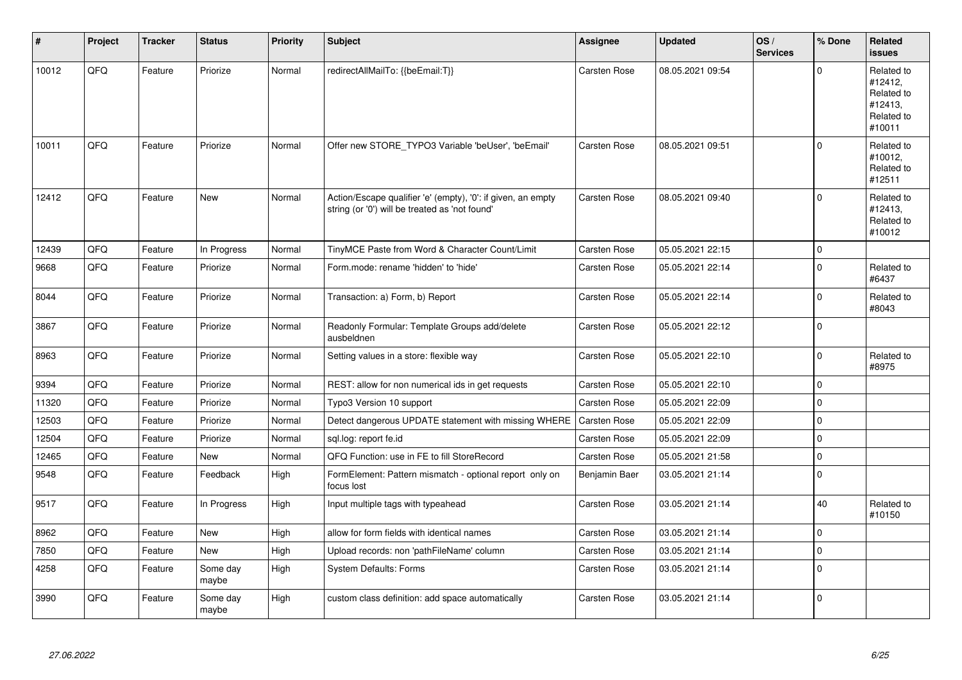| ∦     | Project | <b>Tracker</b> | <b>Status</b>     | Priority | <b>Subject</b>                                                                                                 | Assignee            | <b>Updated</b>   | OS/<br><b>Services</b> | % Done       | <b>Related</b><br><b>issues</b>                                        |
|-------|---------|----------------|-------------------|----------|----------------------------------------------------------------------------------------------------------------|---------------------|------------------|------------------------|--------------|------------------------------------------------------------------------|
| 10012 | QFQ     | Feature        | Priorize          | Normal   | redirectAllMailTo: {{beEmail:T}}                                                                               | <b>Carsten Rose</b> | 08.05.2021 09:54 |                        | $\Omega$     | Related to<br>#12412,<br>Related to<br>#12413,<br>Related to<br>#10011 |
| 10011 | QFQ     | Feature        | Priorize          | Normal   | Offer new STORE_TYPO3 Variable 'beUser', 'beEmail'                                                             | Carsten Rose        | 08.05.2021 09:51 |                        | $\Omega$     | Related to<br>#10012,<br>Related to<br>#12511                          |
| 12412 | QFQ     | Feature        | <b>New</b>        | Normal   | Action/Escape qualifier 'e' (empty), '0': if given, an empty<br>string (or '0') will be treated as 'not found' | Carsten Rose        | 08.05.2021 09:40 |                        | $\Omega$     | Related to<br>#12413,<br>Related to<br>#10012                          |
| 12439 | QFQ     | Feature        | In Progress       | Normal   | TinyMCE Paste from Word & Character Count/Limit                                                                | <b>Carsten Rose</b> | 05.05.2021 22:15 |                        | $\mathbf 0$  |                                                                        |
| 9668  | QFQ     | Feature        | Priorize          | Normal   | Form.mode: rename 'hidden' to 'hide'                                                                           | Carsten Rose        | 05.05.2021 22:14 |                        | $\Omega$     | Related to<br>#6437                                                    |
| 8044  | QFQ     | Feature        | Priorize          | Normal   | Transaction: a) Form, b) Report                                                                                | <b>Carsten Rose</b> | 05.05.2021 22:14 |                        | $\Omega$     | Related to<br>#8043                                                    |
| 3867  | QFQ     | Feature        | Priorize          | Normal   | Readonly Formular: Template Groups add/delete<br>ausbeldnen                                                    | <b>Carsten Rose</b> | 05.05.2021 22:12 |                        | $\mathbf 0$  |                                                                        |
| 8963  | QFQ     | Feature        | Priorize          | Normal   | Setting values in a store: flexible way                                                                        | <b>Carsten Rose</b> | 05.05.2021 22:10 |                        | $\mathbf 0$  | Related to<br>#8975                                                    |
| 9394  | QFQ     | Feature        | Priorize          | Normal   | REST: allow for non numerical ids in get requests                                                              | Carsten Rose        | 05.05.2021 22:10 |                        | $\mathbf 0$  |                                                                        |
| 11320 | QFQ     | Feature        | Priorize          | Normal   | Typo3 Version 10 support                                                                                       | Carsten Rose        | 05.05.2021 22:09 |                        | $\mathbf 0$  |                                                                        |
| 12503 | QFQ     | Feature        | Priorize          | Normal   | Detect dangerous UPDATE statement with missing WHERE                                                           | Carsten Rose        | 05.05.2021 22:09 |                        | $\mathbf{0}$ |                                                                        |
| 12504 | QFQ     | Feature        | Priorize          | Normal   | sql.log: report fe.id                                                                                          | Carsten Rose        | 05.05.2021 22:09 |                        | $\mathbf 0$  |                                                                        |
| 12465 | QFQ     | Feature        | <b>New</b>        | Normal   | QFQ Function: use in FE to fill StoreRecord                                                                    | Carsten Rose        | 05.05.2021 21:58 |                        | $\mathbf{0}$ |                                                                        |
| 9548  | QFQ     | Feature        | Feedback          | High     | FormElement: Pattern mismatch - optional report only on<br>focus lost                                          | Benjamin Baer       | 03.05.2021 21:14 |                        | $\mathbf{0}$ |                                                                        |
| 9517  | QFQ     | Feature        | In Progress       | High     | Input multiple tags with typeahead                                                                             | Carsten Rose        | 03.05.2021 21:14 |                        | 40           | Related to<br>#10150                                                   |
| 8962  | QFQ     | Feature        | <b>New</b>        | High     | allow for form fields with identical names                                                                     | <b>Carsten Rose</b> | 03.05.2021 21:14 |                        | $\Omega$     |                                                                        |
| 7850  | QFQ     | Feature        | New               | High     | Upload records: non 'pathFileName' column                                                                      | Carsten Rose        | 03.05.2021 21:14 |                        | $\mathbf{0}$ |                                                                        |
| 4258  | QFQ     | Feature        | Some day<br>maybe | High     | <b>System Defaults: Forms</b>                                                                                  | <b>Carsten Rose</b> | 03.05.2021 21:14 |                        | $\mathbf 0$  |                                                                        |
| 3990  | QFQ     | Feature        | Some day<br>maybe | High     | custom class definition: add space automatically                                                               | Carsten Rose        | 03.05.2021 21:14 |                        | $\Omega$     |                                                                        |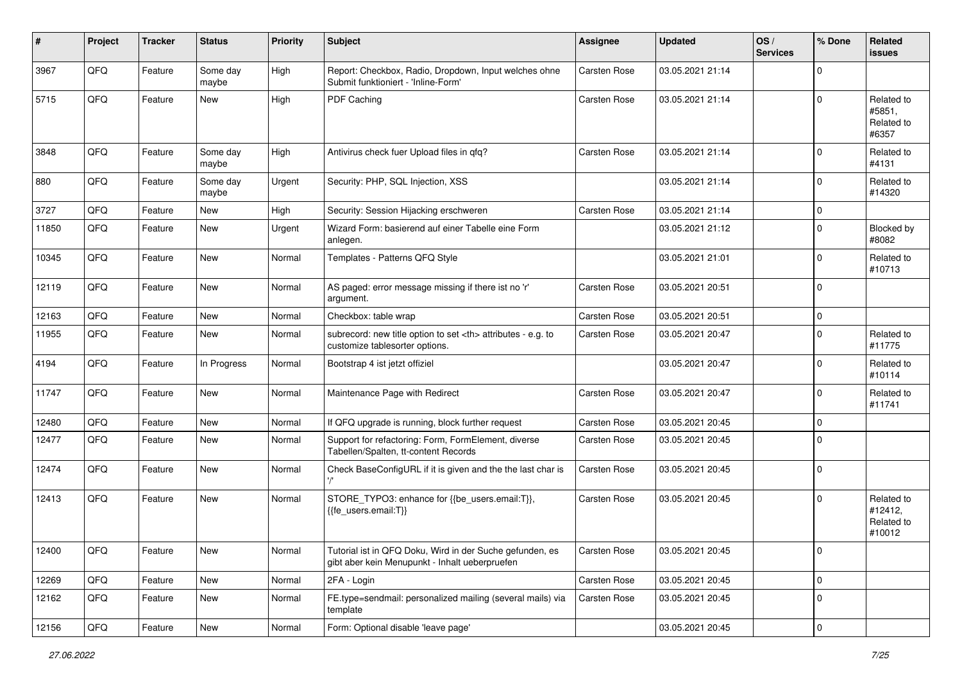| #     | Project | <b>Tracker</b> | <b>Status</b>     | <b>Priority</b> | <b>Subject</b>                                                                                             | <b>Assignee</b>                                        | <b>Updated</b>   | OS/<br><b>Services</b> | % Done       | Related<br><b>issues</b>                      |                      |
|-------|---------|----------------|-------------------|-----------------|------------------------------------------------------------------------------------------------------------|--------------------------------------------------------|------------------|------------------------|--------------|-----------------------------------------------|----------------------|
| 3967  | QFQ     | Feature        | Some day<br>maybe | High            | Report: Checkbox, Radio, Dropdown, Input welches ohne<br>Submit funktioniert - 'Inline-Form'               | <b>Carsten Rose</b>                                    | 03.05.2021 21:14 |                        | $\mathbf 0$  |                                               |                      |
| 5715  | QFQ     | Feature        | New               | High            | PDF Caching                                                                                                | <b>Carsten Rose</b>                                    | 03.05.2021 21:14 |                        | 0            | Related to<br>#5851,<br>Related to<br>#6357   |                      |
| 3848  | QFQ     | Feature        | Some day<br>maybe | High            | Antivirus check fuer Upload files in qfq?                                                                  | Carsten Rose                                           | 03.05.2021 21:14 |                        | $\Omega$     | Related to<br>#4131                           |                      |
| 880   | QFQ     | Feature        | Some day<br>maybe | Urgent          | Security: PHP, SQL Injection, XSS                                                                          |                                                        | 03.05.2021 21:14 |                        | $\Omega$     | Related to<br>#14320                          |                      |
| 3727  | QFQ     | Feature        | New               | High            | Security: Session Hijacking erschweren                                                                     | Carsten Rose                                           | 03.05.2021 21:14 |                        | $\mathbf 0$  |                                               |                      |
| 11850 | QFQ     | Feature        | New               | Urgent          | Wizard Form: basierend auf einer Tabelle eine Form<br>anlegen.                                             |                                                        | 03.05.2021 21:12 |                        | $\mathbf 0$  | Blocked by<br>#8082                           |                      |
| 10345 | QFQ     | Feature        | <b>New</b>        | Normal          | Templates - Patterns QFQ Style                                                                             |                                                        | 03.05.2021 21:01 |                        | $\mathbf 0$  | Related to<br>#10713                          |                      |
| 12119 | QFQ     | Feature        | <b>New</b>        | Normal          | AS paged: error message missing if there ist no 'r'<br>argument.                                           | Carsten Rose                                           | 03.05.2021 20:51 |                        | $\mathbf 0$  |                                               |                      |
| 12163 | QFQ     | Feature        | <b>New</b>        | Normal          | Checkbox: table wrap                                                                                       | <b>Carsten Rose</b>                                    | 03.05.2021 20:51 |                        | $\mathbf 0$  |                                               |                      |
| 11955 | QFQ     | Feature        | New               | Normal          | subrecord: new title option to set <th> attributes - e.g. to<br/>customize tablesorter options.</th>       | attributes - e.g. to<br>customize tablesorter options. | Carsten Rose     | 03.05.2021 20:47       |              | 0                                             | Related to<br>#11775 |
| 4194  | QFQ     | Feature        | In Progress       | Normal          | Bootstrap 4 ist jetzt offiziel                                                                             |                                                        | 03.05.2021 20:47 |                        | $\mathbf 0$  | Related to<br>#10114                          |                      |
| 11747 | QFQ     | Feature        | <b>New</b>        | Normal          | Maintenance Page with Redirect                                                                             | Carsten Rose                                           | 03.05.2021 20:47 |                        | $\mathbf 0$  | Related to<br>#11741                          |                      |
| 12480 | QFQ     | Feature        | <b>New</b>        | Normal          | If QFQ upgrade is running, block further request                                                           | Carsten Rose                                           | 03.05.2021 20:45 |                        | 0            |                                               |                      |
| 12477 | QFQ     | Feature        | New               | Normal          | Support for refactoring: Form, FormElement, diverse<br>Tabellen/Spalten, tt-content Records                | Carsten Rose                                           | 03.05.2021 20:45 |                        | $\mathbf{0}$ |                                               |                      |
| 12474 | QFQ     | Feature        | New               | Normal          | Check BaseConfigURL if it is given and the the last char is                                                | Carsten Rose                                           | 03.05.2021 20:45 |                        | $\mathbf 0$  |                                               |                      |
| 12413 | QFQ     | Feature        | <b>New</b>        | Normal          | STORE_TYPO3: enhance for {{be_users.email:T}},<br>{{fe users.email:T}}                                     | Carsten Rose                                           | 03.05.2021 20:45 |                        | 0            | Related to<br>#12412,<br>Related to<br>#10012 |                      |
| 12400 | QFQ     | Feature        | New               | Normal          | Tutorial ist in QFQ Doku, Wird in der Suche gefunden, es<br>gibt aber kein Menupunkt - Inhalt ueberpruefen | Carsten Rose                                           | 03.05.2021 20:45 |                        | $\mathbf 0$  |                                               |                      |
| 12269 | QFQ     | Feature        | New               | Normal          | 2FA - Login                                                                                                | Carsten Rose                                           | 03.05.2021 20:45 |                        | $\pmb{0}$    |                                               |                      |
| 12162 | QFQ     | Feature        | New               | Normal          | FE.type=sendmail: personalized mailing (several mails) via<br>template                                     | Carsten Rose                                           | 03.05.2021 20:45 |                        | $\mathbf 0$  |                                               |                      |
| 12156 | QFG     | Feature        | New               | Normal          | Form: Optional disable 'leave page'                                                                        |                                                        | 03.05.2021 20:45 |                        | $\pmb{0}$    |                                               |                      |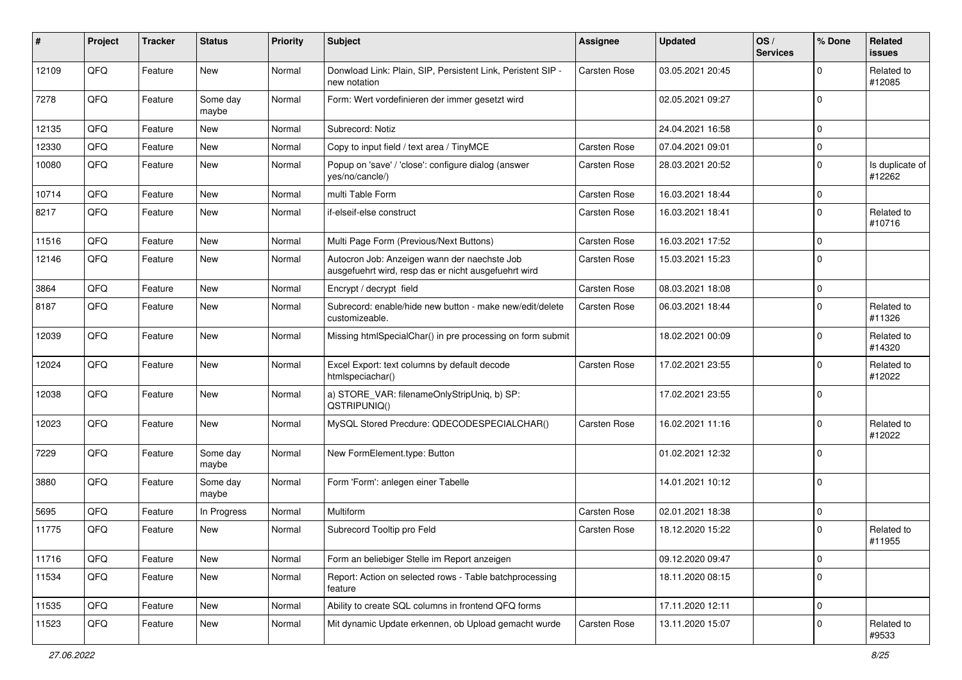| #     | Project | <b>Tracker</b> | <b>Status</b>     | <b>Priority</b> | Subject                                                                                              | <b>Assignee</b>     | <b>Updated</b>   | OS/<br><b>Services</b> | % Done      | Related<br>issues         |
|-------|---------|----------------|-------------------|-----------------|------------------------------------------------------------------------------------------------------|---------------------|------------------|------------------------|-------------|---------------------------|
| 12109 | QFQ     | Feature        | <b>New</b>        | Normal          | Donwload Link: Plain, SIP, Persistent Link, Peristent SIP -<br>new notation                          | Carsten Rose        | 03.05.2021 20:45 |                        | 0           | Related to<br>#12085      |
| 7278  | QFQ     | Feature        | Some day<br>maybe | Normal          | Form: Wert vordefinieren der immer gesetzt wird                                                      |                     | 02.05.2021 09:27 |                        | $\Omega$    |                           |
| 12135 | QFQ     | Feature        | <b>New</b>        | Normal          | Subrecord: Notiz                                                                                     |                     | 24.04.2021 16:58 |                        | 0           |                           |
| 12330 | QFQ     | Feature        | <b>New</b>        | Normal          | Copy to input field / text area / TinyMCE                                                            | Carsten Rose        | 07.04.2021 09:01 |                        | 0           |                           |
| 10080 | QFQ     | Feature        | <b>New</b>        | Normal          | Popup on 'save' / 'close': configure dialog (answer<br>yes/no/cancle/)                               | Carsten Rose        | 28.03.2021 20:52 |                        | $\mathbf 0$ | Is duplicate of<br>#12262 |
| 10714 | QFQ     | Feature        | <b>New</b>        | Normal          | multi Table Form                                                                                     | Carsten Rose        | 16.03.2021 18:44 |                        | $\mathbf 0$ |                           |
| 8217  | QFQ     | Feature        | <b>New</b>        | Normal          | if-elseif-else construct                                                                             | Carsten Rose        | 16.03.2021 18:41 |                        | 0           | Related to<br>#10716      |
| 11516 | QFQ     | Feature        | New               | Normal          | Multi Page Form (Previous/Next Buttons)                                                              | Carsten Rose        | 16.03.2021 17:52 |                        | 0           |                           |
| 12146 | QFQ     | Feature        | <b>New</b>        | Normal          | Autocron Job: Anzeigen wann der naechste Job<br>ausgefuehrt wird, resp das er nicht ausgefuehrt wird | Carsten Rose        | 15.03.2021 15:23 |                        | 0           |                           |
| 3864  | QFQ     | Feature        | <b>New</b>        | Normal          | Encrypt / decrypt field                                                                              | <b>Carsten Rose</b> | 08.03.2021 18:08 |                        | $\mathbf 0$ |                           |
| 8187  | QFQ     | Feature        | New               | Normal          | Subrecord: enable/hide new button - make new/edit/delete<br>customizeable.                           | Carsten Rose        | 06.03.2021 18:44 |                        | 0           | Related to<br>#11326      |
| 12039 | QFQ     | Feature        | <b>New</b>        | Normal          | Missing htmlSpecialChar() in pre processing on form submit                                           |                     | 18.02.2021 00:09 |                        | 0           | Related to<br>#14320      |
| 12024 | QFQ     | Feature        | <b>New</b>        | Normal          | Excel Export: text columns by default decode<br>htmlspeciachar()                                     | <b>Carsten Rose</b> | 17.02.2021 23:55 |                        | 0           | Related to<br>#12022      |
| 12038 | QFQ     | Feature        | <b>New</b>        | Normal          | a) STORE_VAR: filenameOnlyStripUniq, b) SP:<br>QSTRIPUNIQ()                                          |                     | 17.02.2021 23:55 |                        | 0           |                           |
| 12023 | QFQ     | Feature        | <b>New</b>        | Normal          | MySQL Stored Precdure: QDECODESPECIALCHAR()                                                          | <b>Carsten Rose</b> | 16.02.2021 11:16 |                        | $\mathbf 0$ | Related to<br>#12022      |
| 7229  | QFQ     | Feature        | Some day<br>maybe | Normal          | New FormElement.type: Button                                                                         |                     | 01.02.2021 12:32 |                        | $\mathbf 0$ |                           |
| 3880  | QFQ     | Feature        | Some day<br>maybe | Normal          | Form 'Form': anlegen einer Tabelle                                                                   |                     | 14.01.2021 10:12 |                        | $\mathbf 0$ |                           |
| 5695  | QFQ     | Feature        | In Progress       | Normal          | Multiform                                                                                            | Carsten Rose        | 02.01.2021 18:38 |                        | $\mathbf 0$ |                           |
| 11775 | QFQ     | Feature        | New               | Normal          | Subrecord Tooltip pro Feld                                                                           | Carsten Rose        | 18.12.2020 15:22 |                        | $\Omega$    | Related to<br>#11955      |
| 11716 | QFQ     | Feature        | New               | Normal          | Form an beliebiger Stelle im Report anzeigen                                                         |                     | 09.12.2020 09:47 |                        | $\mathbf 0$ |                           |
| 11534 | QFQ     | Feature        | New               | Normal          | Report: Action on selected rows - Table batchprocessing<br>feature                                   |                     | 18.11.2020 08:15 |                        | $\mathbf 0$ |                           |
| 11535 | QFQ     | Feature        | New               | Normal          | Ability to create SQL columns in frontend QFQ forms                                                  |                     | 17.11.2020 12:11 |                        | $\mathbf 0$ |                           |
| 11523 | QFQ     | Feature        | New               | Normal          | Mit dynamic Update erkennen, ob Upload gemacht wurde                                                 | Carsten Rose        | 13.11.2020 15:07 |                        | $\mathbf 0$ | Related to<br>#9533       |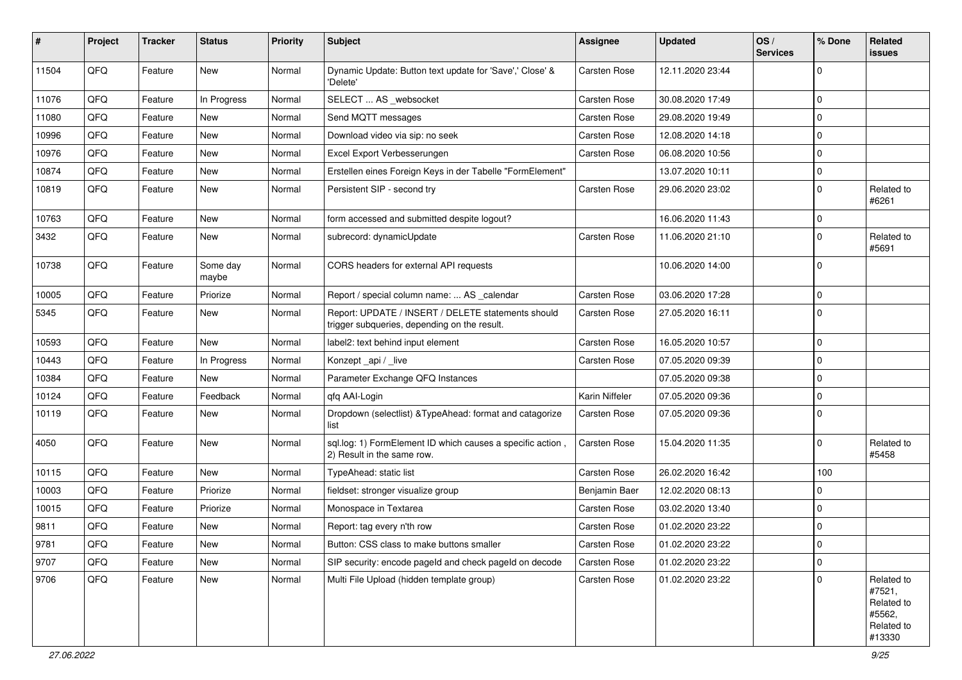| ∦     | Project | <b>Tracker</b> | <b>Status</b>     | <b>Priority</b> | Subject                                                                                            | <b>Assignee</b> | <b>Updated</b>   | OS/<br><b>Services</b> | ∣% Done     | Related<br>issues                                                    |
|-------|---------|----------------|-------------------|-----------------|----------------------------------------------------------------------------------------------------|-----------------|------------------|------------------------|-------------|----------------------------------------------------------------------|
| 11504 | QFQ     | Feature        | <b>New</b>        | Normal          | Dynamic Update: Button text update for 'Save',' Close' &<br>'Delete'                               | Carsten Rose    | 12.11.2020 23:44 |                        | $\Omega$    |                                                                      |
| 11076 | QFQ     | Feature        | In Progress       | Normal          | SELECT  AS _websocket                                                                              | Carsten Rose    | 30.08.2020 17:49 |                        | $\mathbf 0$ |                                                                      |
| 11080 | QFQ     | Feature        | New               | Normal          | Send MQTT messages                                                                                 | Carsten Rose    | 29.08.2020 19:49 |                        | $\mathbf 0$ |                                                                      |
| 10996 | QFQ     | Feature        | New               | Normal          | Download video via sip: no seek                                                                    | Carsten Rose    | 12.08.2020 14:18 |                        | $\mathbf 0$ |                                                                      |
| 10976 | QFQ     | Feature        | New               | Normal          | Excel Export Verbesserungen                                                                        | Carsten Rose    | 06.08.2020 10:56 |                        | $\mathbf 0$ |                                                                      |
| 10874 | QFQ     | Feature        | New               | Normal          | Erstellen eines Foreign Keys in der Tabelle "FormElement"                                          |                 | 13.07.2020 10:11 |                        | 0           |                                                                      |
| 10819 | QFQ     | Feature        | New               | Normal          | Persistent SIP - second try                                                                        | Carsten Rose    | 29.06.2020 23:02 |                        | $\mathbf 0$ | Related to<br>#6261                                                  |
| 10763 | QFQ     | Feature        | <b>New</b>        | Normal          | form accessed and submitted despite logout?                                                        |                 | 16.06.2020 11:43 |                        | $\mathbf 0$ |                                                                      |
| 3432  | QFQ     | Feature        | New               | Normal          | subrecord: dynamicUpdate                                                                           | Carsten Rose    | 11.06.2020 21:10 |                        | $\mathbf 0$ | Related to<br>#5691                                                  |
| 10738 | QFQ     | Feature        | Some day<br>maybe | Normal          | CORS headers for external API requests                                                             |                 | 10.06.2020 14:00 |                        | $\mathbf 0$ |                                                                      |
| 10005 | QFQ     | Feature        | Priorize          | Normal          | Report / special column name:  AS _calendar                                                        | Carsten Rose    | 03.06.2020 17:28 |                        | $\mathbf 0$ |                                                                      |
| 5345  | QFQ     | Feature        | New               | Normal          | Report: UPDATE / INSERT / DELETE statements should<br>trigger subqueries, depending on the result. | Carsten Rose    | 27.05.2020 16:11 |                        | $\Omega$    |                                                                      |
| 10593 | QFQ     | Feature        | New               | Normal          | label2: text behind input element                                                                  | Carsten Rose    | 16.05.2020 10:57 |                        | $\mathbf 0$ |                                                                      |
| 10443 | QFQ     | Feature        | In Progress       | Normal          | Konzept_api / _live                                                                                | Carsten Rose    | 07.05.2020 09:39 |                        | $\mathbf 0$ |                                                                      |
| 10384 | QFQ     | Feature        | <b>New</b>        | Normal          | Parameter Exchange QFQ Instances                                                                   |                 | 07.05.2020 09:38 |                        | $\mathbf 0$ |                                                                      |
| 10124 | QFQ     | Feature        | Feedback          | Normal          | qfq AAI-Login                                                                                      | Karin Niffeler  | 07.05.2020 09:36 |                        | $\mathbf 0$ |                                                                      |
| 10119 | QFQ     | Feature        | New               | Normal          | Dropdown (selectlist) & TypeAhead: format and catagorize<br>list                                   | Carsten Rose    | 07.05.2020 09:36 |                        | $\mathbf 0$ |                                                                      |
| 4050  | QFQ     | Feature        | New               | Normal          | sql.log: 1) FormElement ID which causes a specific action,<br>2) Result in the same row.           | Carsten Rose    | 15.04.2020 11:35 |                        | $\mathbf 0$ | Related to<br>#5458                                                  |
| 10115 | QFQ     | Feature        | <b>New</b>        | Normal          | TypeAhead: static list                                                                             | Carsten Rose    | 26.02.2020 16:42 |                        | 100         |                                                                      |
| 10003 | QFQ     | Feature        | Priorize          | Normal          | fieldset: stronger visualize group                                                                 | Benjamin Baer   | 12.02.2020 08:13 |                        | $\Omega$    |                                                                      |
| 10015 | QFQ     | Feature        | Priorize          | Normal          | Monospace in Textarea                                                                              | Carsten Rose    | 03.02.2020 13:40 |                        | $\mathbf 0$ |                                                                      |
| 9811  | QFQ     | Feature        | New               | Normal          | Report: tag every n'th row                                                                         | Carsten Rose    | 01.02.2020 23:22 |                        | $\mathbf 0$ |                                                                      |
| 9781  | QFQ     | Feature        | New               | Normal          | Button: CSS class to make buttons smaller                                                          | Carsten Rose    | 01.02.2020 23:22 |                        | 0           |                                                                      |
| 9707  | QFQ     | Feature        | New               | Normal          | SIP security: encode pageld and check pageld on decode                                             | Carsten Rose    | 01.02.2020 23:22 |                        | $\mathbf 0$ |                                                                      |
| 9706  | QFQ     | Feature        | New               | Normal          | Multi File Upload (hidden template group)                                                          | Carsten Rose    | 01.02.2020 23:22 |                        | $\mathbf 0$ | Related to<br>#7521,<br>Related to<br>#5562,<br>Related to<br>#13330 |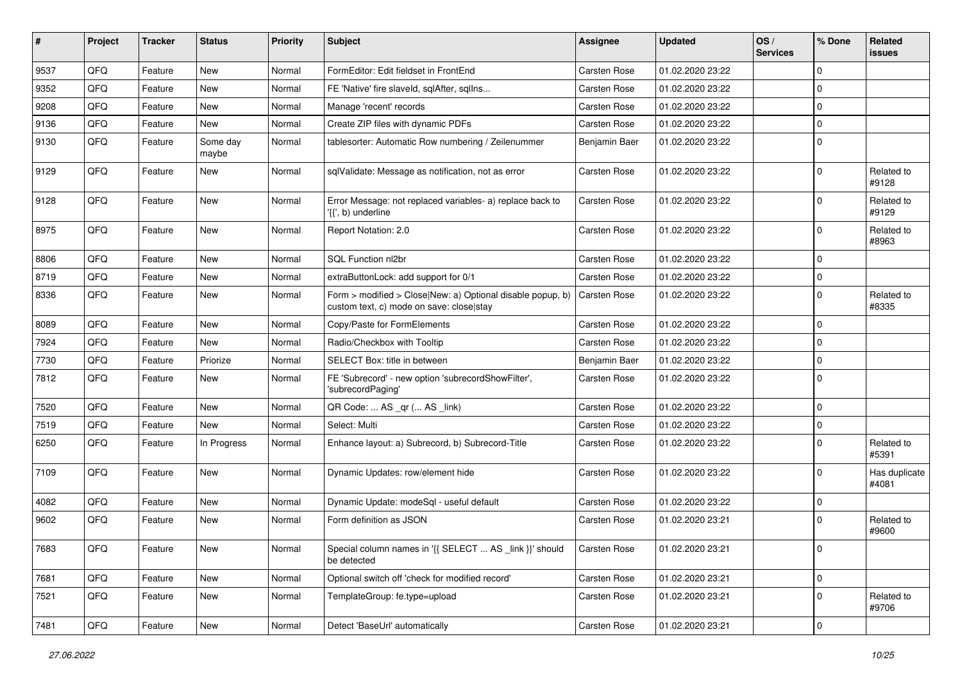| #    | Project | <b>Tracker</b> | <b>Status</b>     | <b>Priority</b> | <b>Subject</b>                                                                                         | <b>Assignee</b>     | <b>Updated</b>   | OS/<br><b>Services</b> | % Done      | Related<br><b>issues</b> |
|------|---------|----------------|-------------------|-----------------|--------------------------------------------------------------------------------------------------------|---------------------|------------------|------------------------|-------------|--------------------------|
| 9537 | QFQ     | Feature        | <b>New</b>        | Normal          | FormEditor: Edit fieldset in FrontEnd                                                                  | <b>Carsten Rose</b> | 01.02.2020 23:22 |                        | $\mathbf 0$ |                          |
| 9352 | QFQ     | Feature        | New               | Normal          | FE 'Native' fire slaveld, sqlAfter, sqlIns                                                             | Carsten Rose        | 01.02.2020 23:22 |                        | 0           |                          |
| 9208 | QFQ     | Feature        | New               | Normal          | Manage 'recent' records                                                                                | Carsten Rose        | 01.02.2020 23:22 |                        | $\mathbf 0$ |                          |
| 9136 | QFQ     | Feature        | New               | Normal          | Create ZIP files with dynamic PDFs                                                                     | <b>Carsten Rose</b> | 01.02.2020 23:22 |                        | $\mathbf 0$ |                          |
| 9130 | QFQ     | Feature        | Some day<br>maybe | Normal          | tablesorter: Automatic Row numbering / Zeilenummer                                                     | Benjamin Baer       | 01.02.2020 23:22 |                        | $\mathbf 0$ |                          |
| 9129 | QFQ     | Feature        | New               | Normal          | sqlValidate: Message as notification, not as error                                                     | <b>Carsten Rose</b> | 01.02.2020 23:22 |                        | 0           | Related to<br>#9128      |
| 9128 | QFQ     | Feature        | <b>New</b>        | Normal          | Error Message: not replaced variables- a) replace back to<br>'{{', b) underline                        | Carsten Rose        | 01.02.2020 23:22 |                        | $\mathbf 0$ | Related to<br>#9129      |
| 8975 | QFQ     | Feature        | New               | Normal          | Report Notation: 2.0                                                                                   | Carsten Rose        | 01.02.2020 23:22 |                        | 0           | Related to<br>#8963      |
| 8806 | QFQ     | Feature        | <b>New</b>        | Normal          | SQL Function nl2br                                                                                     | <b>Carsten Rose</b> | 01.02.2020 23:22 |                        | 0           |                          |
| 8719 | QFQ     | Feature        | New               | Normal          | extraButtonLock: add support for 0/1                                                                   | <b>Carsten Rose</b> | 01.02.2020 23:22 |                        | $\mathbf 0$ |                          |
| 8336 | QFQ     | Feature        | New               | Normal          | Form > modified > Close New: a) Optional disable popup, b)<br>custom text, c) mode on save: close stay | <b>Carsten Rose</b> | 01.02.2020 23:22 |                        | $\mathbf 0$ | Related to<br>#8335      |
| 8089 | QFQ     | Feature        | <b>New</b>        | Normal          | Copy/Paste for FormElements                                                                            | Carsten Rose        | 01.02.2020 23:22 |                        | $\mathbf 0$ |                          |
| 7924 | QFQ     | Feature        | New               | Normal          | Radio/Checkbox with Tooltip                                                                            | <b>Carsten Rose</b> | 01.02.2020 23:22 |                        | $\mathbf 0$ |                          |
| 7730 | QFQ     | Feature        | Priorize          | Normal          | SELECT Box: title in between                                                                           | Benjamin Baer       | 01.02.2020 23:22 |                        | 0           |                          |
| 7812 | QFQ     | Feature        | New               | Normal          | FE 'Subrecord' - new option 'subrecordShowFilter',<br>'subrecordPaging'                                | Carsten Rose        | 01.02.2020 23:22 |                        | $\Omega$    |                          |
| 7520 | QFQ     | Feature        | <b>New</b>        | Normal          | QR Code:  AS _qr ( AS _link)                                                                           | Carsten Rose        | 01.02.2020 23:22 |                        | 0           |                          |
| 7519 | QFQ     | Feature        | New               | Normal          | Select: Multi                                                                                          | <b>Carsten Rose</b> | 01.02.2020 23:22 |                        | 0           |                          |
| 6250 | QFQ     | Feature        | In Progress       | Normal          | Enhance layout: a) Subrecord, b) Subrecord-Title                                                       | Carsten Rose        | 01.02.2020 23:22 |                        | $\Omega$    | Related to<br>#5391      |
| 7109 | QFQ     | Feature        | <b>New</b>        | Normal          | Dynamic Updates: row/element hide                                                                      | Carsten Rose        | 01.02.2020 23:22 |                        | 0           | Has duplicate<br>#4081   |
| 4082 | QFQ     | Feature        | New               | Normal          | Dynamic Update: modeSql - useful default                                                               | <b>Carsten Rose</b> | 01.02.2020 23:22 |                        | $\mathbf 0$ |                          |
| 9602 | QFQ     | Feature        | New               | Normal          | Form definition as JSON                                                                                | <b>Carsten Rose</b> | 01.02.2020 23:21 |                        | $\mathbf 0$ | Related to<br>#9600      |
| 7683 | QFG     | Feature        | New               | Normal          | Special column names in '{{ SELECT  AS _link }}' should<br>be detected                                 | <b>Carsten Rose</b> | 01.02.2020 23:21 |                        | 0           |                          |
| 7681 | QFQ     | Feature        | New               | Normal          | Optional switch off 'check for modified record'                                                        | Carsten Rose        | 01.02.2020 23:21 |                        | $\mathbf 0$ |                          |
| 7521 | QFQ     | Feature        | New               | Normal          | TemplateGroup: fe.type=upload                                                                          | Carsten Rose        | 01.02.2020 23:21 |                        | $\mathbf 0$ | Related to<br>#9706      |
| 7481 | QFG     | Feature        | New               | Normal          | Detect 'BaseUrl' automatically                                                                         | Carsten Rose        | 01.02.2020 23:21 |                        | $\pmb{0}$   |                          |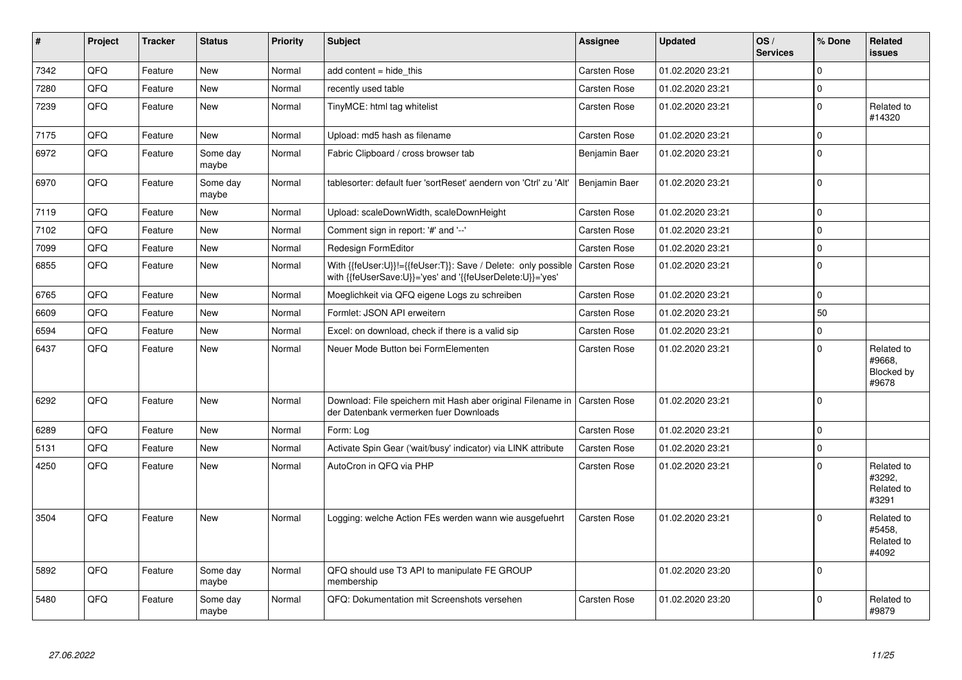| #    | Project | <b>Tracker</b> | <b>Status</b>     | <b>Priority</b> | <b>Subject</b>                                                                                                             | Assignee            | <b>Updated</b>   | OS/<br><b>Services</b> | % Done       | Related<br><b>issues</b>                    |
|------|---------|----------------|-------------------|-----------------|----------------------------------------------------------------------------------------------------------------------------|---------------------|------------------|------------------------|--------------|---------------------------------------------|
| 7342 | QFQ     | Feature        | <b>New</b>        | Normal          | add content = hide_this                                                                                                    | <b>Carsten Rose</b> | 01.02.2020 23:21 |                        | $\Omega$     |                                             |
| 7280 | QFQ     | Feature        | New               | Normal          | recently used table                                                                                                        | Carsten Rose        | 01.02.2020 23:21 |                        | $\Omega$     |                                             |
| 7239 | QFQ     | Feature        | New               | Normal          | TinyMCE: html tag whitelist                                                                                                | Carsten Rose        | 01.02.2020 23:21 |                        | $\mathbf 0$  | Related to<br>#14320                        |
| 7175 | QFQ     | Feature        | New               | Normal          | Upload: md5 hash as filename                                                                                               | Carsten Rose        | 01.02.2020 23:21 |                        | $\pmb{0}$    |                                             |
| 6972 | QFQ     | Feature        | Some day<br>maybe | Normal          | Fabric Clipboard / cross browser tab                                                                                       | Benjamin Baer       | 01.02.2020 23:21 |                        | 0            |                                             |
| 6970 | QFQ     | Feature        | Some day<br>maybe | Normal          | tablesorter: default fuer 'sortReset' aendern von 'Ctrl' zu 'Alt'                                                          | Benjamin Baer       | 01.02.2020 23:21 |                        | $\Omega$     |                                             |
| 7119 | QFQ     | Feature        | <b>New</b>        | Normal          | Upload: scaleDownWidth, scaleDownHeight                                                                                    | <b>Carsten Rose</b> | 01.02.2020 23:21 |                        | $\mathbf{0}$ |                                             |
| 7102 | QFQ     | Feature        | New               | Normal          | Comment sign in report: '#' and '--'                                                                                       | <b>Carsten Rose</b> | 01.02.2020 23:21 |                        | $\Omega$     |                                             |
| 7099 | QFQ     | Feature        | <b>New</b>        | Normal          | Redesign FormEditor                                                                                                        | Carsten Rose        | 01.02.2020 23:21 |                        | $\pmb{0}$    |                                             |
| 6855 | QFQ     | Feature        | New               | Normal          | With {{feUser:U}}!={{feUser:T}}: Save / Delete: only possible<br>with {{feUserSave:U}}='yes' and '{{feUserDelete:U}}='yes' | <b>Carsten Rose</b> | 01.02.2020 23:21 |                        | $\mathbf{0}$ |                                             |
| 6765 | QFQ     | Feature        | New               | Normal          | Moeglichkeit via QFQ eigene Logs zu schreiben                                                                              | <b>Carsten Rose</b> | 01.02.2020 23:21 |                        | 0            |                                             |
| 6609 | QFQ     | Feature        | New               | Normal          | Formlet: JSON API erweitern                                                                                                | Carsten Rose        | 01.02.2020 23:21 |                        | 50           |                                             |
| 6594 | QFQ     | Feature        | New               | Normal          | Excel: on download, check if there is a valid sip                                                                          | Carsten Rose        | 01.02.2020 23:21 |                        | 0            |                                             |
| 6437 | QFQ     | Feature        | New               | Normal          | Neuer Mode Button bei FormElementen                                                                                        | Carsten Rose        | 01.02.2020 23:21 |                        | $\Omega$     | Related to<br>#9668.<br>Blocked by<br>#9678 |
| 6292 | QFQ     | Feature        | <b>New</b>        | Normal          | Download: File speichern mit Hash aber original Filename in   Carsten Rose<br>der Datenbank vermerken fuer Downloads       |                     | 01.02.2020 23:21 |                        | $\Omega$     |                                             |
| 6289 | QFQ     | Feature        | <b>New</b>        | Normal          | Form: Log                                                                                                                  | Carsten Rose        | 01.02.2020 23:21 |                        | $\mathbf 0$  |                                             |
| 5131 | QFQ     | Feature        | <b>New</b>        | Normal          | Activate Spin Gear ('wait/busy' indicator) via LINK attribute                                                              | <b>Carsten Rose</b> | 01.02.2020 23:21 |                        | $\mathbf{0}$ |                                             |
| 4250 | QFQ     | Feature        | <b>New</b>        | Normal          | AutoCron in QFQ via PHP                                                                                                    | Carsten Rose        | 01.02.2020 23:21 |                        | $\Omega$     | Related to<br>#3292,<br>Related to<br>#3291 |
| 3504 | QFQ     | Feature        | New               | Normal          | Logging: welche Action FEs werden wann wie ausgefuehrt                                                                     | Carsten Rose        | 01.02.2020 23:21 |                        | $\Omega$     | Related to<br>#5458,<br>Related to<br>#4092 |
| 5892 | QFQ     | Feature        | Some day<br>maybe | Normal          | QFQ should use T3 API to manipulate FE GROUP<br>membership                                                                 |                     | 01.02.2020 23:20 |                        | $\Omega$     |                                             |
| 5480 | QFQ     | Feature        | Some day<br>maybe | Normal          | QFQ: Dokumentation mit Screenshots versehen                                                                                | Carsten Rose        | 01.02.2020 23:20 |                        | $\Omega$     | Related to<br>#9879                         |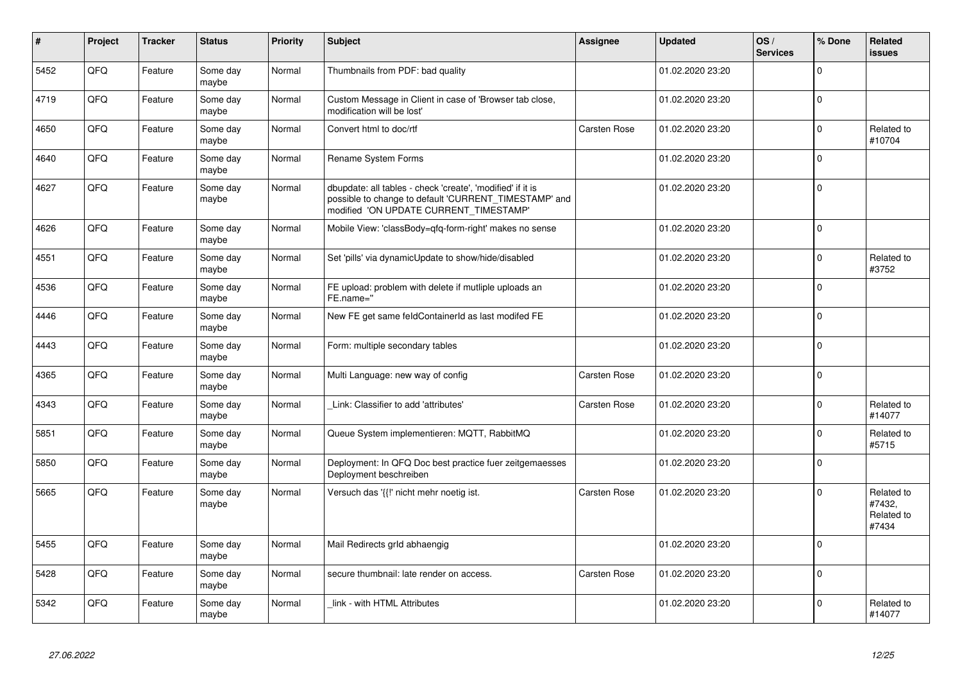| $\vert$ # | Project | <b>Tracker</b> | <b>Status</b>     | Priority | <b>Subject</b>                                                                                                                                                | Assignee            | <b>Updated</b>   | OS/<br><b>Services</b> | % Done       | <b>Related</b><br><b>issues</b>             |
|-----------|---------|----------------|-------------------|----------|---------------------------------------------------------------------------------------------------------------------------------------------------------------|---------------------|------------------|------------------------|--------------|---------------------------------------------|
| 5452      | QFQ     | Feature        | Some day<br>maybe | Normal   | Thumbnails from PDF: bad quality                                                                                                                              |                     | 01.02.2020 23:20 |                        | $\mathbf 0$  |                                             |
| 4719      | QFQ     | Feature        | Some day<br>maybe | Normal   | Custom Message in Client in case of 'Browser tab close,<br>modification will be lost'                                                                         |                     | 01.02.2020 23:20 |                        | $\mathbf{0}$ |                                             |
| 4650      | QFQ     | Feature        | Some day<br>maybe | Normal   | Convert html to doc/rtf                                                                                                                                       | Carsten Rose        | 01.02.2020 23:20 |                        | $\mathbf 0$  | Related to<br>#10704                        |
| 4640      | QFQ     | Feature        | Some day<br>maybe | Normal   | Rename System Forms                                                                                                                                           |                     | 01.02.2020 23:20 |                        | $\mathbf{0}$ |                                             |
| 4627      | QFQ     | Feature        | Some day<br>maybe | Normal   | dbupdate: all tables - check 'create', 'modified' if it is<br>possible to change to default 'CURRENT_TIMESTAMP' and<br>modified 'ON UPDATE CURRENT TIMESTAMP' |                     | 01.02.2020 23:20 |                        | $\mathbf{0}$ |                                             |
| 4626      | QFQ     | Feature        | Some day<br>maybe | Normal   | Mobile View: 'classBody=qfq-form-right' makes no sense                                                                                                        |                     | 01.02.2020 23:20 |                        | $\mathbf{0}$ |                                             |
| 4551      | QFQ     | Feature        | Some day<br>maybe | Normal   | Set 'pills' via dynamicUpdate to show/hide/disabled                                                                                                           |                     | 01.02.2020 23:20 |                        | $\mathbf 0$  | Related to<br>#3752                         |
| 4536      | QFQ     | Feature        | Some day<br>maybe | Normal   | FE upload: problem with delete if mutliple uploads an<br>FE.name="                                                                                            |                     | 01.02.2020 23:20 |                        | $\mathbf 0$  |                                             |
| 4446      | QFQ     | Feature        | Some day<br>maybe | Normal   | New FE get same feldContainerId as last modifed FE                                                                                                            |                     | 01.02.2020 23:20 |                        | $\mathbf{0}$ |                                             |
| 4443      | QFQ     | Feature        | Some day<br>maybe | Normal   | Form: multiple secondary tables                                                                                                                               |                     | 01.02.2020 23:20 |                        | $\mathbf{0}$ |                                             |
| 4365      | QFQ     | Feature        | Some day<br>maybe | Normal   | Multi Language: new way of config                                                                                                                             | <b>Carsten Rose</b> | 01.02.2020 23:20 |                        | $\mathbf{0}$ |                                             |
| 4343      | QFQ     | Feature        | Some day<br>maybe | Normal   | Link: Classifier to add 'attributes'                                                                                                                          | Carsten Rose        | 01.02.2020 23:20 |                        | $\Omega$     | Related to<br>#14077                        |
| 5851      | QFQ     | Feature        | Some day<br>maybe | Normal   | Queue System implementieren: MQTT, RabbitMQ                                                                                                                   |                     | 01.02.2020 23:20 |                        | $\Omega$     | Related to<br>#5715                         |
| 5850      | QFQ     | Feature        | Some day<br>maybe | Normal   | Deployment: In QFQ Doc best practice fuer zeitgemaesses<br>Deployment beschreiben                                                                             |                     | 01.02.2020 23:20 |                        | $\mathbf 0$  |                                             |
| 5665      | QFQ     | Feature        | Some day<br>maybe | Normal   | Versuch das '{{!' nicht mehr noetig ist.                                                                                                                      | <b>Carsten Rose</b> | 01.02.2020 23:20 |                        | $\Omega$     | Related to<br>#7432,<br>Related to<br>#7434 |
| 5455      | QFQ     | Feature        | Some day<br>maybe | Normal   | Mail Redirects grld abhaengig                                                                                                                                 |                     | 01.02.2020 23:20 |                        | $\Omega$     |                                             |
| 5428      | QFQ     | Feature        | Some day<br>maybe | Normal   | secure thumbnail: late render on access.                                                                                                                      | <b>Carsten Rose</b> | 01.02.2020 23:20 |                        | $\Omega$     |                                             |
| 5342      | QFQ     | Feature        | Some day<br>maybe | Normal   | link - with HTML Attributes                                                                                                                                   |                     | 01.02.2020 23:20 |                        | $\Omega$     | Related to<br>#14077                        |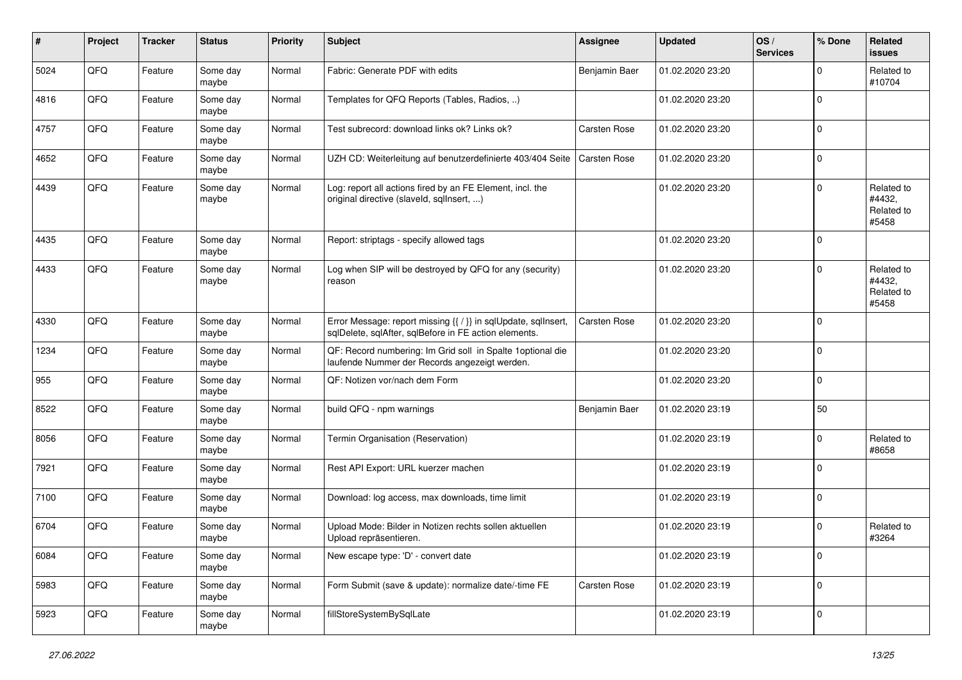| $\sharp$ | Project | <b>Tracker</b> | <b>Status</b>     | <b>Priority</b> | <b>Subject</b>                                                                                                          | <b>Assignee</b> | <b>Updated</b>   | OS/<br><b>Services</b> | % Done       | Related<br><b>issues</b>                    |
|----------|---------|----------------|-------------------|-----------------|-------------------------------------------------------------------------------------------------------------------------|-----------------|------------------|------------------------|--------------|---------------------------------------------|
| 5024     | QFQ     | Feature        | Some day<br>maybe | Normal          | Fabric: Generate PDF with edits                                                                                         | Benjamin Baer   | 01.02.2020 23:20 |                        | $\mathbf{0}$ | Related to<br>#10704                        |
| 4816     | QFQ     | Feature        | Some day<br>maybe | Normal          | Templates for QFQ Reports (Tables, Radios, )                                                                            |                 | 01.02.2020 23:20 |                        | $\mathbf 0$  |                                             |
| 4757     | QFQ     | Feature        | Some day<br>maybe | Normal          | Test subrecord: download links ok? Links ok?                                                                            | Carsten Rose    | 01.02.2020 23:20 |                        | $\mathbf 0$  |                                             |
| 4652     | QFQ     | Feature        | Some day<br>maybe | Normal          | UZH CD: Weiterleitung auf benutzerdefinierte 403/404 Seite                                                              | Carsten Rose    | 01.02.2020 23:20 |                        | 0            |                                             |
| 4439     | QFQ     | Feature        | Some day<br>maybe | Normal          | Log: report all actions fired by an FE Element, incl. the<br>original directive (slaveld, sqllnsert, )                  |                 | 01.02.2020 23:20 |                        | $\mathbf 0$  | Related to<br>#4432,<br>Related to<br>#5458 |
| 4435     | QFQ     | Feature        | Some day<br>maybe | Normal          | Report: striptags - specify allowed tags                                                                                |                 | 01.02.2020 23:20 |                        | $\mathbf 0$  |                                             |
| 4433     | QFQ     | Feature        | Some day<br>maybe | Normal          | Log when SIP will be destroyed by QFQ for any (security)<br>reason                                                      |                 | 01.02.2020 23:20 |                        | $\mathbf 0$  | Related to<br>#4432,<br>Related to<br>#5458 |
| 4330     | QFQ     | Feature        | Some day<br>maybe | Normal          | Error Message: report missing {{ / }} in sqlUpdate, sqlInsert,<br>sqlDelete, sqlAfter, sqlBefore in FE action elements. | Carsten Rose    | 01.02.2020 23:20 |                        | $\mathbf 0$  |                                             |
| 1234     | QFQ     | Feature        | Some day<br>maybe | Normal          | QF: Record numbering: Im Grid soll in Spalte 1optional die<br>laufende Nummer der Records angezeigt werden.             |                 | 01.02.2020 23:20 |                        | $\mathbf 0$  |                                             |
| 955      | QFQ     | Feature        | Some day<br>maybe | Normal          | QF: Notizen vor/nach dem Form                                                                                           |                 | 01.02.2020 23:20 |                        | $\mathbf 0$  |                                             |
| 8522     | QFQ     | Feature        | Some day<br>maybe | Normal          | build QFQ - npm warnings                                                                                                | Benjamin Baer   | 01.02.2020 23:19 |                        | 50           |                                             |
| 8056     | QFQ     | Feature        | Some day<br>maybe | Normal          | Termin Organisation (Reservation)                                                                                       |                 | 01.02.2020 23:19 |                        | $\mathbf 0$  | Related to<br>#8658                         |
| 7921     | QFQ     | Feature        | Some day<br>maybe | Normal          | Rest API Export: URL kuerzer machen                                                                                     |                 | 01.02.2020 23:19 |                        | $\mathbf 0$  |                                             |
| 7100     | QFQ     | Feature        | Some day<br>maybe | Normal          | Download: log access, max downloads, time limit                                                                         |                 | 01.02.2020 23:19 |                        | $\mathbf 0$  |                                             |
| 6704     | QFQ     | Feature        | Some day<br>maybe | Normal          | Upload Mode: Bilder in Notizen rechts sollen aktuellen<br>Upload repräsentieren.                                        |                 | 01.02.2020 23:19 |                        | $\mathbf 0$  | Related to<br>#3264                         |
| 6084     | QFQ     | Feature        | Some day<br>maybe | Normal          | New escape type: 'D' - convert date                                                                                     |                 | 01.02.2020 23:19 |                        | $\mathbf 0$  |                                             |
| 5983     | QFQ     | Feature        | Some day<br>maybe | Normal          | Form Submit (save & update): normalize date/-time FE                                                                    | Carsten Rose    | 01.02.2020 23:19 |                        | $\mathsf 0$  |                                             |
| 5923     | QFQ     | Feature        | Some day<br>maybe | Normal          | fillStoreSystemBySqlLate                                                                                                |                 | 01.02.2020 23:19 |                        | $\mathsf 0$  |                                             |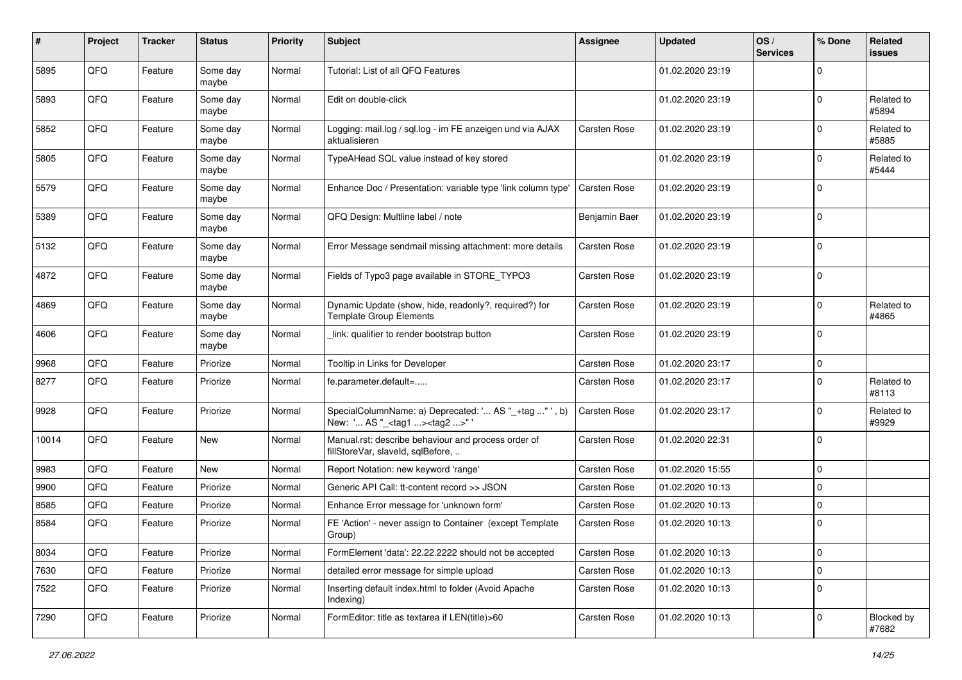| #     | Project | <b>Tracker</b> | <b>Status</b>     | <b>Priority</b> | <b>Subject</b>                                                                                      | <b>Assignee</b> | <b>Updated</b>   | OS/<br><b>Services</b> | % Done         | Related<br>issues   |
|-------|---------|----------------|-------------------|-----------------|-----------------------------------------------------------------------------------------------------|-----------------|------------------|------------------------|----------------|---------------------|
| 5895  | QFQ     | Feature        | Some day<br>maybe | Normal          | Tutorial: List of all QFQ Features                                                                  |                 | 01.02.2020 23:19 |                        | $\mathbf 0$    |                     |
| 5893  | QFQ     | Feature        | Some day<br>maybe | Normal          | Edit on double-click                                                                                |                 | 01.02.2020 23:19 |                        | $\Omega$       | Related to<br>#5894 |
| 5852  | QFQ     | Feature        | Some day<br>maybe | Normal          | Logging: mail.log / sql.log - im FE anzeigen und via AJAX<br>aktualisieren                          | Carsten Rose    | 01.02.2020 23:19 |                        | $\Omega$       | Related to<br>#5885 |
| 5805  | QFQ     | Feature        | Some day<br>maybe | Normal          | TypeAHead SQL value instead of key stored                                                           |                 | 01.02.2020 23:19 |                        | 0              | Related to<br>#5444 |
| 5579  | QFQ     | Feature        | Some day<br>maybe | Normal          | Enhance Doc / Presentation: variable type 'link column type'                                        | Carsten Rose    | 01.02.2020 23:19 |                        | $\mathbf 0$    |                     |
| 5389  | QFQ     | Feature        | Some day<br>maybe | Normal          | QFQ Design: Multline label / note                                                                   | Benjamin Baer   | 01.02.2020 23:19 |                        | $\mathbf 0$    |                     |
| 5132  | QFQ     | Feature        | Some day<br>maybe | Normal          | Error Message sendmail missing attachment: more details                                             | Carsten Rose    | 01.02.2020 23:19 |                        | $\mathbf 0$    |                     |
| 4872  | QFQ     | Feature        | Some day<br>maybe | Normal          | Fields of Typo3 page available in STORE_TYPO3                                                       | Carsten Rose    | 01.02.2020 23:19 |                        | $\mathbf 0$    |                     |
| 4869  | QFQ     | Feature        | Some day<br>maybe | Normal          | Dynamic Update (show, hide, readonly?, required?) for<br><b>Template Group Elements</b>             | Carsten Rose    | 01.02.2020 23:19 |                        | $\mathbf 0$    | Related to<br>#4865 |
| 4606  | QFQ     | Feature        | Some day<br>maybe | Normal          | link: qualifier to render bootstrap button                                                          | Carsten Rose    | 01.02.2020 23:19 |                        | $\Omega$       |                     |
| 9968  | QFQ     | Feature        | Priorize          | Normal          | Tooltip in Links for Developer                                                                      | Carsten Rose    | 01.02.2020 23:17 |                        | $\mathbf 0$    |                     |
| 8277  | QFQ     | Feature        | Priorize          | Normal          | fe.parameter.default=                                                                               | Carsten Rose    | 01.02.2020 23:17 |                        | $\mathbf 0$    | Related to<br>#8113 |
| 9928  | QFQ     | Feature        | Priorize          | Normal          | SpecialColumnName: a) Deprecated: ' AS "_+tag " ', b)<br>New: ' AS "_ <tag1><tag2>" '</tag2></tag1> | Carsten Rose    | 01.02.2020 23:17 |                        | $\mathbf 0$    | Related to<br>#9929 |
| 10014 | QFQ     | Feature        | New               | Normal          | Manual.rst: describe behaviour and process order of<br>fillStoreVar, slaveId, sqlBefore,            | Carsten Rose    | 01.02.2020 22:31 |                        | $\mathbf 0$    |                     |
| 9983  | QFQ     | Feature        | New               | Normal          | Report Notation: new keyword 'range'                                                                | Carsten Rose    | 01.02.2020 15:55 |                        | $\mathbf 0$    |                     |
| 9900  | QFQ     | Feature        | Priorize          | Normal          | Generic API Call: tt-content record >> JSON                                                         | Carsten Rose    | 01.02.2020 10:13 |                        | $\mathbf 0$    |                     |
| 8585  | QFQ     | Feature        | Priorize          | Normal          | Enhance Error message for 'unknown form'                                                            | Carsten Rose    | 01.02.2020 10:13 |                        | $\mathbf 0$    |                     |
| 8584  | QFQ     | Feature        | Priorize          | Normal          | FE 'Action' - never assign to Container (except Template<br>Group)                                  | Carsten Rose    | 01.02.2020 10:13 |                        | $\mathbf 0$    |                     |
| 8034  | QFQ     | Feature        | Priorize          | Normal          | FormElement 'data': 22.22.2222 should not be accepted                                               | Carsten Rose    | 01.02.2020 10:13 |                        | $\overline{0}$ |                     |
| 7630  | QFQ     | Feature        | Priorize          | Normal          | detailed error message for simple upload                                                            | Carsten Rose    | 01.02.2020 10:13 |                        | 0              |                     |
| 7522  | QFQ     | Feature        | Priorize          | Normal          | Inserting default index.html to folder (Avoid Apache<br>Indexing)                                   | Carsten Rose    | 01.02.2020 10:13 |                        | 0              |                     |
| 7290  | QFQ     | Feature        | Priorize          | Normal          | FormEditor: title as textarea if LEN(title)>60                                                      | Carsten Rose    | 01.02.2020 10:13 |                        | 0              | Blocked by<br>#7682 |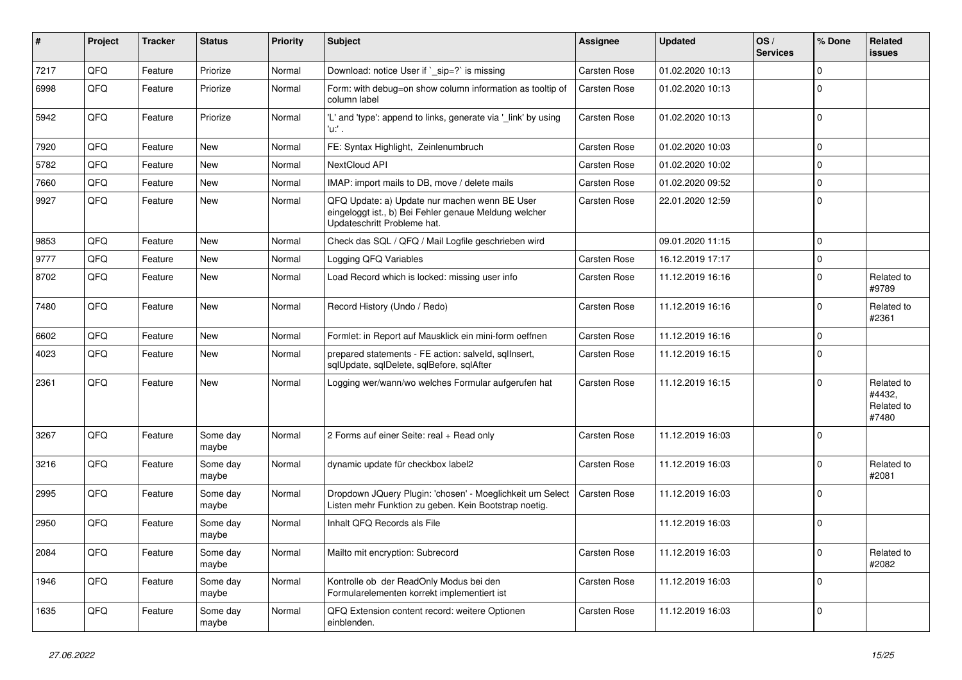| ∦    | Project | <b>Tracker</b> | <b>Status</b>     | <b>Priority</b> | <b>Subject</b>                                                                                                                        | <b>Assignee</b>     | <b>Updated</b>   | OS/<br><b>Services</b> | % Done      | Related<br>issues                           |
|------|---------|----------------|-------------------|-----------------|---------------------------------------------------------------------------------------------------------------------------------------|---------------------|------------------|------------------------|-------------|---------------------------------------------|
| 7217 | QFQ     | Feature        | Priorize          | Normal          | Download: notice User if ` sip=?` is missing                                                                                          | Carsten Rose        | 01.02.2020 10:13 |                        | 0           |                                             |
| 6998 | QFQ     | Feature        | Priorize          | Normal          | Form: with debug=on show column information as tooltip of<br>column label                                                             | Carsten Rose        | 01.02.2020 10:13 |                        | $\Omega$    |                                             |
| 5942 | QFQ     | Feature        | Priorize          | Normal          | 'L' and 'type': append to links, generate via '_link' by using<br>'u:' .                                                              | Carsten Rose        | 01.02.2020 10:13 |                        | $\Omega$    |                                             |
| 7920 | QFQ     | Feature        | <b>New</b>        | Normal          | FE: Syntax Highlight, Zeinlenumbruch                                                                                                  | Carsten Rose        | 01.02.2020 10:03 |                        | 0           |                                             |
| 5782 | QFQ     | Feature        | <b>New</b>        | Normal          | NextCloud API                                                                                                                         | Carsten Rose        | 01.02.2020 10:02 |                        | 0           |                                             |
| 7660 | QFQ     | Feature        | <b>New</b>        | Normal          | IMAP: import mails to DB, move / delete mails                                                                                         | Carsten Rose        | 01.02.2020 09:52 |                        | 0           |                                             |
| 9927 | QFQ     | Feature        | New               | Normal          | QFQ Update: a) Update nur machen wenn BE User<br>eingeloggt ist., b) Bei Fehler genaue Meldung welcher<br>Updateschritt Probleme hat. | Carsten Rose        | 22.01.2020 12:59 |                        | 0           |                                             |
| 9853 | QFQ     | Feature        | <b>New</b>        | Normal          | Check das SQL / QFQ / Mail Logfile geschrieben wird                                                                                   |                     | 09.01.2020 11:15 |                        | $\Omega$    |                                             |
| 9777 | QFQ     | Feature        | <b>New</b>        | Normal          | Logging QFQ Variables                                                                                                                 | Carsten Rose        | 16.12.2019 17:17 |                        | $\Omega$    |                                             |
| 8702 | QFQ     | Feature        | <b>New</b>        | Normal          | Load Record which is locked: missing user info                                                                                        | Carsten Rose        | 11.12.2019 16:16 |                        | $\mathbf 0$ | Related to<br>#9789                         |
| 7480 | QFQ     | Feature        | New               | Normal          | Record History (Undo / Redo)                                                                                                          | Carsten Rose        | 11.12.2019 16:16 |                        | $\Omega$    | Related to<br>#2361                         |
| 6602 | QFQ     | Feature        | New               | Normal          | Formlet: in Report auf Mausklick ein mini-form oeffnen                                                                                | Carsten Rose        | 11.12.2019 16:16 |                        | 0           |                                             |
| 4023 | QFQ     | Feature        | New               | Normal          | prepared statements - FE action: salveld, sgllnsert,<br>sqlUpdate, sqlDelete, sqlBefore, sqlAfter                                     | Carsten Rose        | 11.12.2019 16:15 |                        | $\Omega$    |                                             |
| 2361 | QFQ     | Feature        | <b>New</b>        | Normal          | Logging wer/wann/wo welches Formular aufgerufen hat                                                                                   | Carsten Rose        | 11.12.2019 16:15 |                        | $\Omega$    | Related to<br>#4432,<br>Related to<br>#7480 |
| 3267 | QFQ     | Feature        | Some day<br>maybe | Normal          | 2 Forms auf einer Seite: real + Read only                                                                                             | <b>Carsten Rose</b> | 11.12.2019 16:03 |                        | $\Omega$    |                                             |
| 3216 | QFQ     | Feature        | Some day<br>maybe | Normal          | dynamic update für checkbox label2                                                                                                    | Carsten Rose        | 11.12.2019 16:03 |                        | 0           | Related to<br>#2081                         |
| 2995 | QFQ     | Feature        | Some day<br>maybe | Normal          | Dropdown JQuery Plugin: 'chosen' - Moeglichkeit um Select<br>Listen mehr Funktion zu geben. Kein Bootstrap noetig.                    | Carsten Rose        | 11.12.2019 16:03 |                        | $\mathbf 0$ |                                             |
| 2950 | QFQ     | Feature        | Some day<br>maybe | Normal          | Inhalt QFQ Records als File                                                                                                           |                     | 11.12.2019 16:03 |                        | $\Omega$    |                                             |
| 2084 | QFQ     | Feature        | Some day<br>maybe | Normal          | Mailto mit encryption: Subrecord                                                                                                      | Carsten Rose        | 11.12.2019 16:03 |                        | 0           | Related to<br>#2082                         |
| 1946 | QFQ     | Feature        | Some day<br>maybe | Normal          | Kontrolle ob der ReadOnly Modus bei den<br>Formularelementen korrekt implementiert ist                                                | Carsten Rose        | 11.12.2019 16:03 |                        | $\Omega$    |                                             |
| 1635 | QFQ     | Feature        | Some day<br>maybe | Normal          | QFQ Extension content record: weitere Optionen<br>einblenden.                                                                         | Carsten Rose        | 11.12.2019 16:03 |                        | $\Omega$    |                                             |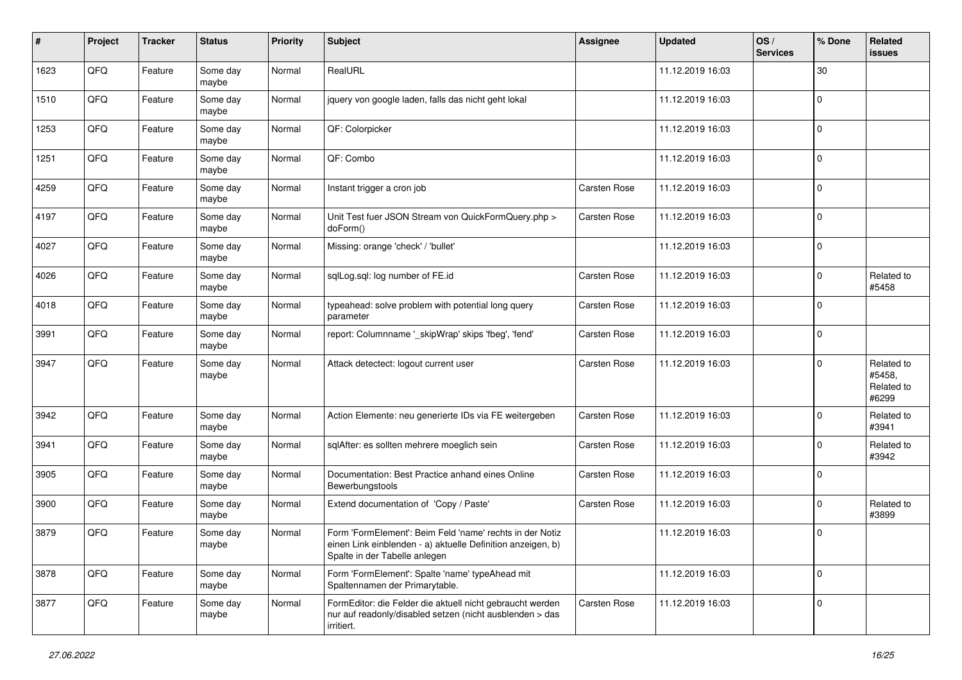| $\#$ | Project | <b>Tracker</b> | <b>Status</b>     | <b>Priority</b> | <b>Subject</b>                                                                                                                                           | <b>Assignee</b> | <b>Updated</b>   | OS/<br><b>Services</b> | % Done      | Related<br><b>issues</b>                    |
|------|---------|----------------|-------------------|-----------------|----------------------------------------------------------------------------------------------------------------------------------------------------------|-----------------|------------------|------------------------|-------------|---------------------------------------------|
| 1623 | QFQ     | Feature        | Some day<br>maybe | Normal          | RealURL                                                                                                                                                  |                 | 11.12.2019 16:03 |                        | 30          |                                             |
| 1510 | QFQ     | Feature        | Some day<br>maybe | Normal          | jquery von google laden, falls das nicht geht lokal                                                                                                      |                 | 11.12.2019 16:03 |                        | $\mathbf 0$ |                                             |
| 1253 | QFQ     | Feature        | Some day<br>maybe | Normal          | QF: Colorpicker                                                                                                                                          |                 | 11.12.2019 16:03 |                        | $\mathbf 0$ |                                             |
| 1251 | QFQ     | Feature        | Some day<br>maybe | Normal          | QF: Combo                                                                                                                                                |                 | 11.12.2019 16:03 |                        | $\mathbf 0$ |                                             |
| 4259 | QFQ     | Feature        | Some day<br>maybe | Normal          | Instant trigger a cron job                                                                                                                               | Carsten Rose    | 11.12.2019 16:03 |                        | $\mathbf 0$ |                                             |
| 4197 | QFQ     | Feature        | Some day<br>maybe | Normal          | Unit Test fuer JSON Stream von QuickFormQuery.php ><br>doForm()                                                                                          | Carsten Rose    | 11.12.2019 16:03 |                        | $\mathbf 0$ |                                             |
| 4027 | QFQ     | Feature        | Some day<br>maybe | Normal          | Missing: orange 'check' / 'bullet'                                                                                                                       |                 | 11.12.2019 16:03 |                        | $\mathbf 0$ |                                             |
| 4026 | QFQ     | Feature        | Some day<br>maybe | Normal          | sqlLog.sql: log number of FE.id                                                                                                                          | Carsten Rose    | 11.12.2019 16:03 |                        | $\mathbf 0$ | Related to<br>#5458                         |
| 4018 | QFQ     | Feature        | Some day<br>maybe | Normal          | typeahead: solve problem with potential long query<br>parameter                                                                                          | Carsten Rose    | 11.12.2019 16:03 |                        | $\mathbf 0$ |                                             |
| 3991 | QFQ     | Feature        | Some day<br>maybe | Normal          | report: Columnname '_skipWrap' skips 'fbeg', 'fend'                                                                                                      | Carsten Rose    | 11.12.2019 16:03 |                        | $\Omega$    |                                             |
| 3947 | QFQ     | Feature        | Some day<br>maybe | Normal          | Attack detectect: logout current user                                                                                                                    | Carsten Rose    | 11.12.2019 16:03 |                        | $\mathbf 0$ | Related to<br>#5458,<br>Related to<br>#6299 |
| 3942 | QFQ     | Feature        | Some day<br>maybe | Normal          | Action Elemente: neu generierte IDs via FE weitergeben                                                                                                   | Carsten Rose    | 11.12.2019 16:03 |                        | $\mathbf 0$ | Related to<br>#3941                         |
| 3941 | QFQ     | Feature        | Some day<br>maybe | Normal          | sqlAfter: es sollten mehrere moeglich sein                                                                                                               | Carsten Rose    | 11.12.2019 16:03 |                        | $\mathbf 0$ | Related to<br>#3942                         |
| 3905 | QFQ     | Feature        | Some day<br>maybe | Normal          | Documentation: Best Practice anhand eines Online<br>Bewerbungstools                                                                                      | Carsten Rose    | 11.12.2019 16:03 |                        | $\Omega$    |                                             |
| 3900 | QFQ     | Feature        | Some day<br>maybe | Normal          | Extend documentation of 'Copy / Paste'                                                                                                                   | Carsten Rose    | 11.12.2019 16:03 |                        | $\Omega$    | Related to<br>#3899                         |
| 3879 | QFQ     | Feature        | Some day<br>maybe | Normal          | Form 'FormElement': Beim Feld 'name' rechts in der Notiz<br>einen Link einblenden - a) aktuelle Definition anzeigen, b)<br>Spalte in der Tabelle anlegen |                 | 11.12.2019 16:03 |                        | $\mathbf 0$ |                                             |
| 3878 | QFQ     | Feature        | Some day<br>maybe | Normal          | Form 'FormElement': Spalte 'name' typeAhead mit<br>Spaltennamen der Primarytable.                                                                        |                 | 11.12.2019 16:03 |                        | $\mathbf 0$ |                                             |
| 3877 | QFQ     | Feature        | Some day<br>maybe | Normal          | FormEditor: die Felder die aktuell nicht gebraucht werden<br>nur auf readonly/disabled setzen (nicht ausblenden > das<br>irritiert.                      | Carsten Rose    | 11.12.2019 16:03 |                        | 0           |                                             |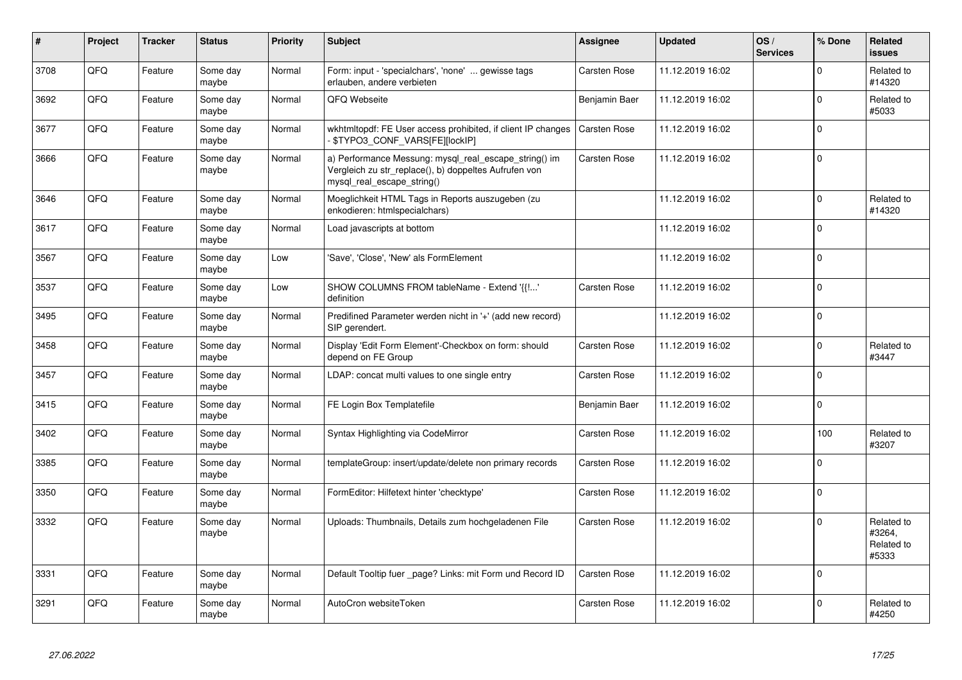| #    | Project | <b>Tracker</b> | <b>Status</b>     | <b>Priority</b> | <b>Subject</b>                                                                                                                               | <b>Assignee</b>     | <b>Updated</b>   | OS/<br><b>Services</b> | % Done       | Related<br><b>issues</b>                    |
|------|---------|----------------|-------------------|-----------------|----------------------------------------------------------------------------------------------------------------------------------------------|---------------------|------------------|------------------------|--------------|---------------------------------------------|
| 3708 | QFQ     | Feature        | Some day<br>maybe | Normal          | Form: input - 'specialchars', 'none'  gewisse tags<br>erlauben, andere verbieten                                                             | <b>Carsten Rose</b> | 11.12.2019 16:02 |                        | $\Omega$     | Related to<br>#14320                        |
| 3692 | QFQ     | Feature        | Some day<br>maybe | Normal          | QFQ Webseite                                                                                                                                 | Benjamin Baer       | 11.12.2019 16:02 |                        | $\mathbf 0$  | Related to<br>#5033                         |
| 3677 | QFQ     | Feature        | Some day<br>maybe | Normal          | wkhtmitopdf: FE User access prohibited, if client IP changes<br>\$TYPO3_CONF_VARS[FE][lockIP]                                                | <b>Carsten Rose</b> | 11.12.2019 16:02 |                        | $\mathbf 0$  |                                             |
| 3666 | QFQ     | Feature        | Some day<br>maybe | Normal          | a) Performance Messung: mysql_real_escape_string() im<br>Vergleich zu str_replace(), b) doppeltes Aufrufen von<br>mysql_real_escape_string() | Carsten Rose        | 11.12.2019 16:02 |                        | $\mathbf 0$  |                                             |
| 3646 | QFQ     | Feature        | Some day<br>maybe | Normal          | Moeglichkeit HTML Tags in Reports auszugeben (zu<br>enkodieren: htmlspecialchars)                                                            |                     | 11.12.2019 16:02 |                        | $\Omega$     | Related to<br>#14320                        |
| 3617 | QFQ     | Feature        | Some day<br>maybe | Normal          | Load javascripts at bottom                                                                                                                   |                     | 11.12.2019 16:02 |                        | $\Omega$     |                                             |
| 3567 | QFQ     | Feature        | Some day<br>maybe | Low             | 'Save', 'Close', 'New' als FormElement                                                                                                       |                     | 11.12.2019 16:02 |                        | $\Omega$     |                                             |
| 3537 | QFQ     | Feature        | Some day<br>maybe | Low             | SHOW COLUMNS FROM tableName - Extend '{{!'<br>definition                                                                                     | Carsten Rose        | 11.12.2019 16:02 |                        | $\Omega$     |                                             |
| 3495 | QFQ     | Feature        | Some day<br>maybe | Normal          | Predifined Parameter werden nicht in '+' (add new record)<br>SIP gerendert.                                                                  |                     | 11.12.2019 16:02 |                        | $\mathbf{0}$ |                                             |
| 3458 | QFQ     | Feature        | Some day<br>maybe | Normal          | Display 'Edit Form Element'-Checkbox on form: should<br>depend on FE Group                                                                   | Carsten Rose        | 11.12.2019 16:02 |                        | $\mathbf{0}$ | Related to<br>#3447                         |
| 3457 | QFQ     | Feature        | Some day<br>maybe | Normal          | LDAP: concat multi values to one single entry                                                                                                | <b>Carsten Rose</b> | 11.12.2019 16:02 |                        | $\Omega$     |                                             |
| 3415 | QFQ     | Feature        | Some day<br>maybe | Normal          | FE Login Box Templatefile                                                                                                                    | Benjamin Baer       | 11.12.2019 16:02 |                        | $\Omega$     |                                             |
| 3402 | QFQ     | Feature        | Some day<br>maybe | Normal          | Syntax Highlighting via CodeMirror                                                                                                           | Carsten Rose        | 11.12.2019 16:02 |                        | 100          | Related to<br>#3207                         |
| 3385 | QFQ     | Feature        | Some day<br>maybe | Normal          | templateGroup: insert/update/delete non primary records                                                                                      | <b>Carsten Rose</b> | 11.12.2019 16:02 |                        | 0            |                                             |
| 3350 | QFQ     | Feature        | Some day<br>maybe | Normal          | FormEditor: Hilfetext hinter 'checktype'                                                                                                     | Carsten Rose        | 11.12.2019 16:02 |                        | $\Omega$     |                                             |
| 3332 | QFQ     | Feature        | Some day<br>maybe | Normal          | Uploads: Thumbnails, Details zum hochgeladenen File                                                                                          | <b>Carsten Rose</b> | 11.12.2019 16:02 |                        | $\Omega$     | Related to<br>#3264.<br>Related to<br>#5333 |
| 3331 | QFQ     | Feature        | Some day<br>maybe | Normal          | Default Tooltip fuer page? Links: mit Form und Record ID                                                                                     | Carsten Rose        | 11.12.2019 16:02 |                        | $\mathbf 0$  |                                             |
| 3291 | QFQ     | Feature        | Some day<br>maybe | Normal          | AutoCron websiteToken                                                                                                                        | <b>Carsten Rose</b> | 11.12.2019 16:02 |                        | $\mathbf 0$  | Related to<br>#4250                         |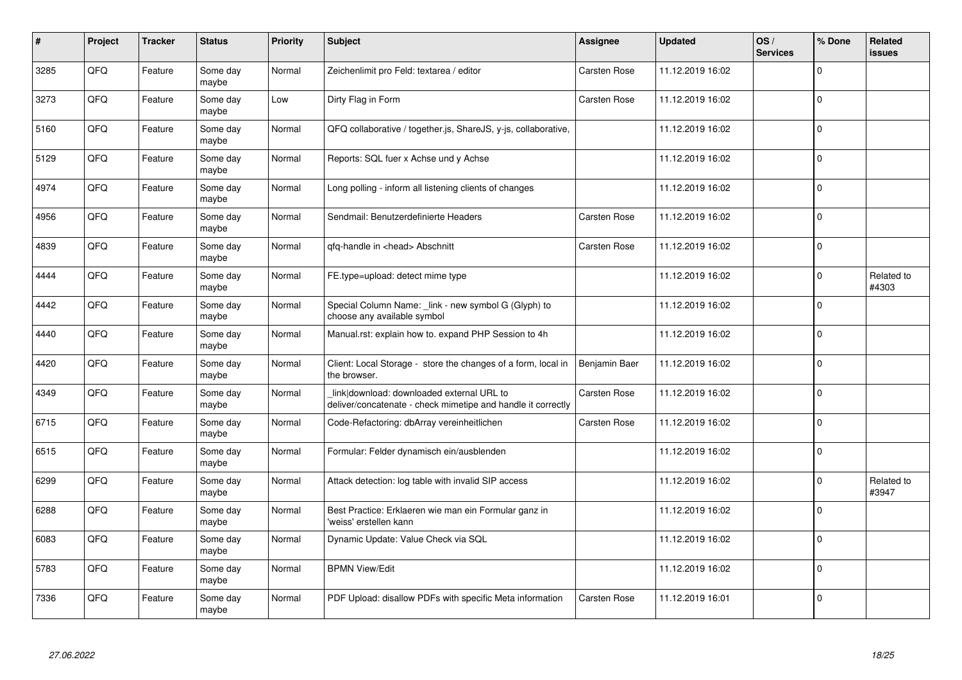| #    | Project | <b>Tracker</b> | <b>Status</b>     | <b>Priority</b> | <b>Subject</b>                                                                                            | Assignee            | <b>Updated</b>   | OS/<br><b>Services</b> | % Done      | Related<br><b>issues</b> |
|------|---------|----------------|-------------------|-----------------|-----------------------------------------------------------------------------------------------------------|---------------------|------------------|------------------------|-------------|--------------------------|
| 3285 | QFQ     | Feature        | Some day<br>maybe | Normal          | Zeichenlimit pro Feld: textarea / editor                                                                  | <b>Carsten Rose</b> | 11.12.2019 16:02 |                        | $\Omega$    |                          |
| 3273 | QFQ     | Feature        | Some day<br>maybe | Low             | Dirty Flag in Form                                                                                        | Carsten Rose        | 11.12.2019 16:02 |                        | $\mathbf 0$ |                          |
| 5160 | QFQ     | Feature        | Some day<br>maybe | Normal          | QFQ collaborative / together.js, ShareJS, y-js, collaborative,                                            |                     | 11.12.2019 16:02 |                        | $\Omega$    |                          |
| 5129 | QFQ     | Feature        | Some day<br>maybe | Normal          | Reports: SQL fuer x Achse und y Achse                                                                     |                     | 11.12.2019 16:02 |                        | $\Omega$    |                          |
| 4974 | QFQ     | Feature        | Some day<br>maybe | Normal          | Long polling - inform all listening clients of changes                                                    |                     | 11.12.2019 16:02 |                        | $\mathbf 0$ |                          |
| 4956 | QFQ     | Feature        | Some day<br>maybe | Normal          | Sendmail: Benutzerdefinierte Headers                                                                      | Carsten Rose        | 11.12.2019 16:02 |                        | $\Omega$    |                          |
| 4839 | QFQ     | Feature        | Some day<br>maybe | Normal          | qfq-handle in <head> Abschnitt</head>                                                                     | Carsten Rose        | 11.12.2019 16:02 |                        | $\mathbf 0$ |                          |
| 4444 | QFQ     | Feature        | Some day<br>maybe | Normal          | FE.type=upload: detect mime type                                                                          |                     | 11.12.2019 16:02 |                        | $\mathbf 0$ | Related to<br>#4303      |
| 4442 | QFQ     | Feature        | Some day<br>maybe | Normal          | Special Column Name: _link - new symbol G (Glyph) to<br>choose any available symbol                       |                     | 11.12.2019 16:02 |                        | $\Omega$    |                          |
| 4440 | QFQ     | Feature        | Some day<br>maybe | Normal          | Manual.rst: explain how to. expand PHP Session to 4h                                                      |                     | 11.12.2019 16:02 |                        | $\mathbf 0$ |                          |
| 4420 | QFQ     | Feature        | Some day<br>maybe | Normal          | Client: Local Storage - store the changes of a form, local in<br>the browser.                             | Benjamin Baer       | 11.12.2019 16:02 |                        | $\mathbf 0$ |                          |
| 4349 | QFQ     | Feature        | Some day<br>maybe | Normal          | link download: downloaded external URL to<br>deliver/concatenate - check mimetipe and handle it correctly | Carsten Rose        | 11.12.2019 16:02 |                        | $\mathbf 0$ |                          |
| 6715 | QFQ     | Feature        | Some day<br>maybe | Normal          | Code-Refactoring: dbArray vereinheitlichen                                                                | <b>Carsten Rose</b> | 11.12.2019 16:02 |                        | $\mathbf 0$ |                          |
| 6515 | QFQ     | Feature        | Some day<br>maybe | Normal          | Formular: Felder dynamisch ein/ausblenden                                                                 |                     | 11.12.2019 16:02 |                        | $\mathbf 0$ |                          |
| 6299 | QFQ     | Feature        | Some day<br>maybe | Normal          | Attack detection: log table with invalid SIP access                                                       |                     | 11.12.2019 16:02 |                        | $\Omega$    | Related to<br>#3947      |
| 6288 | QFQ     | Feature        | Some day<br>maybe | Normal          | Best Practice: Erklaeren wie man ein Formular ganz in<br>'weiss' erstellen kann                           |                     | 11.12.2019 16:02 |                        | $\Omega$    |                          |
| 6083 | QFQ     | Feature        | Some day<br>maybe | Normal          | Dynamic Update: Value Check via SQL                                                                       |                     | 11.12.2019 16:02 |                        | $\mathbf 0$ |                          |
| 5783 | QFQ     | Feature        | Some day<br>maybe | Normal          | <b>BPMN View/Edit</b>                                                                                     |                     | 11.12.2019 16:02 |                        | $\mathbf 0$ |                          |
| 7336 | QFQ     | Feature        | Some day<br>maybe | Normal          | PDF Upload: disallow PDFs with specific Meta information                                                  | Carsten Rose        | 11.12.2019 16:01 |                        | $\Omega$    |                          |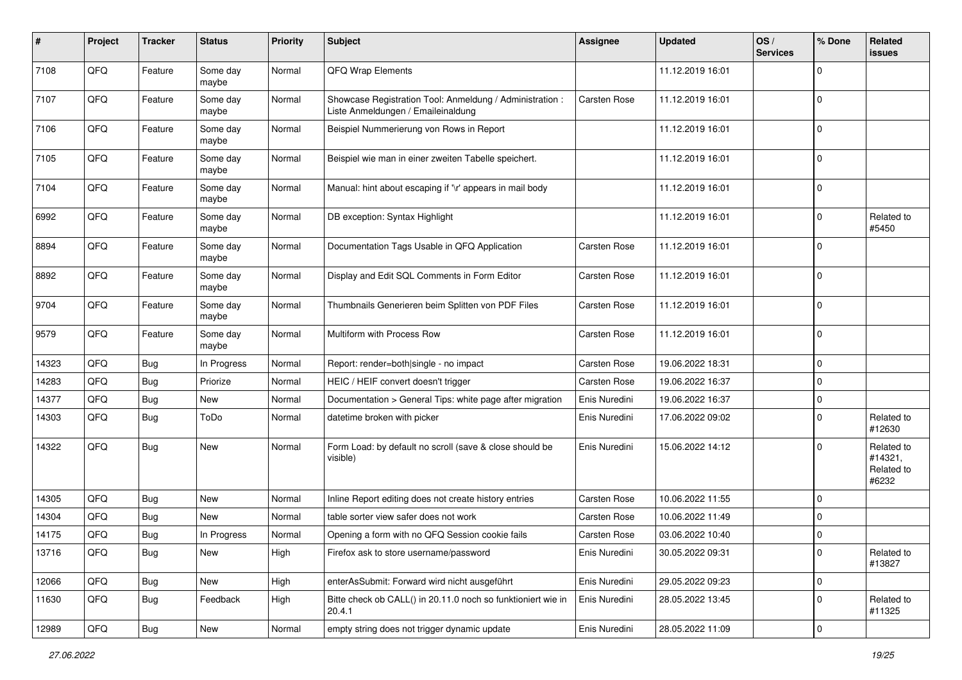| #     | Project | <b>Tracker</b> | <b>Status</b>     | Priority | <b>Subject</b>                                                                                 | <b>Assignee</b>     | <b>Updated</b>   | OS/<br><b>Services</b> | % Done         | Related<br><b>issues</b>                     |
|-------|---------|----------------|-------------------|----------|------------------------------------------------------------------------------------------------|---------------------|------------------|------------------------|----------------|----------------------------------------------|
| 7108  | QFQ     | Feature        | Some day<br>maybe | Normal   | QFQ Wrap Elements                                                                              |                     | 11.12.2019 16:01 |                        | $\Omega$       |                                              |
| 7107  | QFQ     | Feature        | Some day<br>maybe | Normal   | Showcase Registration Tool: Anmeldung / Administration :<br>Liste Anmeldungen / Emaileinaldung | <b>Carsten Rose</b> | 11.12.2019 16:01 |                        | 0              |                                              |
| 7106  | QFQ     | Feature        | Some day<br>maybe | Normal   | Beispiel Nummerierung von Rows in Report                                                       |                     | 11.12.2019 16:01 |                        | $\mathbf 0$    |                                              |
| 7105  | QFQ     | Feature        | Some day<br>maybe | Normal   | Beispiel wie man in einer zweiten Tabelle speichert.                                           |                     | 11.12.2019 16:01 |                        | $\mathbf 0$    |                                              |
| 7104  | QFQ     | Feature        | Some day<br>maybe | Normal   | Manual: hint about escaping if '\r' appears in mail body                                       |                     | 11.12.2019 16:01 |                        | $\mathbf 0$    |                                              |
| 6992  | QFQ     | Feature        | Some day<br>maybe | Normal   | DB exception: Syntax Highlight                                                                 |                     | 11.12.2019 16:01 |                        | $\mathbf 0$    | Related to<br>#5450                          |
| 8894  | QFQ     | Feature        | Some day<br>maybe | Normal   | Documentation Tags Usable in QFQ Application                                                   | <b>Carsten Rose</b> | 11.12.2019 16:01 |                        | $\mathbf 0$    |                                              |
| 8892  | QFQ     | Feature        | Some day<br>maybe | Normal   | Display and Edit SQL Comments in Form Editor                                                   | <b>Carsten Rose</b> | 11.12.2019 16:01 |                        | $\mathbf 0$    |                                              |
| 9704  | QFQ     | Feature        | Some day<br>maybe | Normal   | Thumbnails Generieren beim Splitten von PDF Files                                              | Carsten Rose        | 11.12.2019 16:01 |                        | $\mathbf 0$    |                                              |
| 9579  | QFQ     | Feature        | Some day<br>maybe | Normal   | Multiform with Process Row                                                                     | Carsten Rose        | 11.12.2019 16:01 |                        | $\mathbf 0$    |                                              |
| 14323 | QFQ     | <b>Bug</b>     | In Progress       | Normal   | Report: render=both single - no impact                                                         | <b>Carsten Rose</b> | 19.06.2022 18:31 |                        | 0              |                                              |
| 14283 | QFQ     | <b>Bug</b>     | Priorize          | Normal   | HEIC / HEIF convert doesn't trigger                                                            | Carsten Rose        | 19.06.2022 16:37 |                        | $\mathbf 0$    |                                              |
| 14377 | QFQ     | Bug            | New               | Normal   | Documentation > General Tips: white page after migration                                       | Enis Nuredini       | 19.06.2022 16:37 |                        | $\mathbf 0$    |                                              |
| 14303 | QFQ     | <b>Bug</b>     | ToDo              | Normal   | datetime broken with picker                                                                    | Enis Nuredini       | 17.06.2022 09:02 |                        | $\mathbf 0$    | Related to<br>#12630                         |
| 14322 | QFQ     | <b>Bug</b>     | New               | Normal   | Form Load: by default no scroll (save & close should be<br>visible)                            | Enis Nuredini       | 15.06.2022 14:12 |                        | $\mathbf 0$    | Related to<br>#14321,<br>Related to<br>#6232 |
| 14305 | QFQ     | <b>Bug</b>     | New               | Normal   | Inline Report editing does not create history entries                                          | Carsten Rose        | 10.06.2022 11:55 |                        | $\mathbf 0$    |                                              |
| 14304 | QFQ     | Bug            | New               | Normal   | table sorter view safer does not work                                                          | Carsten Rose        | 10.06.2022 11:49 |                        | $\mathbf 0$    |                                              |
| 14175 | QFQ     | Bug            | In Progress       | Normal   | Opening a form with no QFQ Session cookie fails                                                | Carsten Rose        | 03.06.2022 10:40 |                        | 0              |                                              |
| 13716 | QFG     | <b>Bug</b>     | New               | High     | Firefox ask to store username/password                                                         | Enis Nuredini       | 30.05.2022 09:31 |                        | $\overline{0}$ | Related to<br>#13827                         |
| 12066 | QFQ     | <b>Bug</b>     | New               | High     | enterAsSubmit: Forward wird nicht ausgeführt                                                   | Enis Nuredini       | 29.05.2022 09:23 |                        | $\mathbf 0$    |                                              |
| 11630 | QFQ     | Bug            | Feedback          | High     | Bitte check ob CALL() in 20.11.0 noch so funktioniert wie in<br>20.4.1                         | Enis Nuredini       | 28.05.2022 13:45 |                        | $\mathbf 0$    | Related to<br>#11325                         |
| 12989 | QFQ     | Bug            | New               | Normal   | empty string does not trigger dynamic update                                                   | Enis Nuredini       | 28.05.2022 11:09 |                        | $\pmb{0}$      |                                              |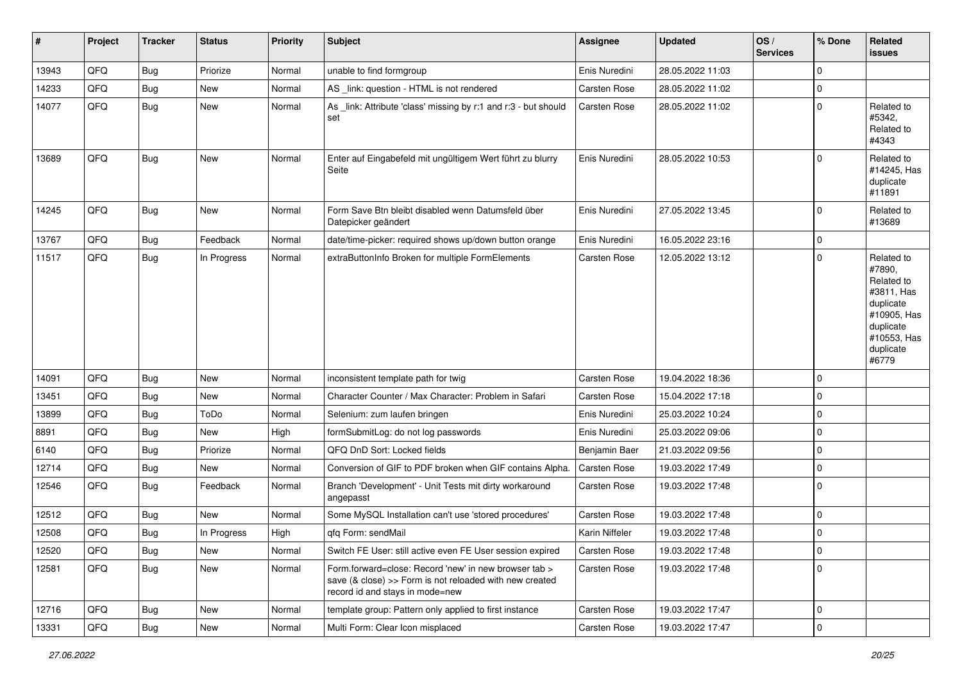| $\vert$ # | Project        | <b>Tracker</b> | <b>Status</b> | <b>Priority</b> | <b>Subject</b>                                                                                                                                      | <b>Assignee</b>     | <b>Updated</b>   | OS/<br><b>Services</b> | % Done              | Related<br><b>issues</b>                                                                                                       |
|-----------|----------------|----------------|---------------|-----------------|-----------------------------------------------------------------------------------------------------------------------------------------------------|---------------------|------------------|------------------------|---------------------|--------------------------------------------------------------------------------------------------------------------------------|
| 13943     | QFQ            | <b>Bug</b>     | Priorize      | Normal          | unable to find formgroup                                                                                                                            | Enis Nuredini       | 28.05.2022 11:03 |                        | 0                   |                                                                                                                                |
| 14233     | QFQ            | <b>Bug</b>     | New           | Normal          | AS _link: question - HTML is not rendered                                                                                                           | Carsten Rose        | 28.05.2022 11:02 |                        | 0                   |                                                                                                                                |
| 14077     | QFQ            | Bug            | New           | Normal          | As _link: Attribute 'class' missing by r:1 and r:3 - but should<br>set                                                                              | <b>Carsten Rose</b> | 28.05.2022 11:02 |                        | 0                   | Related to<br>#5342,<br>Related to<br>#4343                                                                                    |
| 13689     | QFQ            | <b>Bug</b>     | <b>New</b>    | Normal          | Enter auf Eingabefeld mit ungültigem Wert führt zu blurry<br>Seite                                                                                  | Enis Nuredini       | 28.05.2022 10:53 |                        | $\mathbf 0$         | Related to<br>#14245, Has<br>duplicate<br>#11891                                                                               |
| 14245     | QFQ            | <b>Bug</b>     | <b>New</b>    | Normal          | Form Save Btn bleibt disabled wenn Datumsfeld über<br>Datepicker geändert                                                                           | Enis Nuredini       | 27.05.2022 13:45 |                        | $\Omega$            | Related to<br>#13689                                                                                                           |
| 13767     | QFQ            | <b>Bug</b>     | Feedback      | Normal          | date/time-picker: required shows up/down button orange                                                                                              | Enis Nuredini       | 16.05.2022 23:16 |                        | 0                   |                                                                                                                                |
| 11517     | QFQ            | Bug            | In Progress   | Normal          | extraButtonInfo Broken for multiple FormElements                                                                                                    | Carsten Rose        | 12.05.2022 13:12 |                        | 0                   | Related to<br>#7890,<br>Related to<br>#3811, Has<br>duplicate<br>#10905, Has<br>duplicate<br>#10553, Has<br>duplicate<br>#6779 |
| 14091     | QFQ            | <b>Bug</b>     | New           | Normal          | inconsistent template path for twig                                                                                                                 | Carsten Rose        | 19.04.2022 18:36 |                        | $\mathbf 0$         |                                                                                                                                |
| 13451     | QFQ            | <b>Bug</b>     | New           | Normal          | Character Counter / Max Character: Problem in Safari                                                                                                | Carsten Rose        | 15.04.2022 17:18 |                        | 0                   |                                                                                                                                |
| 13899     | QFQ            | <b>Bug</b>     | ToDo          | Normal          | Selenium: zum laufen bringen                                                                                                                        | Enis Nuredini       | 25.03.2022 10:24 |                        | 0                   |                                                                                                                                |
| 8891      | QFQ            | <b>Bug</b>     | New           | High            | formSubmitLog: do not log passwords                                                                                                                 | Enis Nuredini       | 25.03.2022 09:06 |                        | 0                   |                                                                                                                                |
| 6140      | QFQ            | <b>Bug</b>     | Priorize      | Normal          | QFQ DnD Sort: Locked fields                                                                                                                         | Benjamin Baer       | 21.03.2022 09:56 |                        | 0                   |                                                                                                                                |
| 12714     | QFQ            | <b>Bug</b>     | New           | Normal          | Conversion of GIF to PDF broken when GIF contains Alpha.                                                                                            | Carsten Rose        | 19.03.2022 17:49 |                        | $\mathbf 0$         |                                                                                                                                |
| 12546     | QFQ            | Bug            | Feedback      | Normal          | Branch 'Development' - Unit Tests mit dirty workaround<br>angepasst                                                                                 | <b>Carsten Rose</b> | 19.03.2022 17:48 |                        | 0                   |                                                                                                                                |
| 12512     | QFQ            | <b>Bug</b>     | New           | Normal          | Some MySQL Installation can't use 'stored procedures'                                                                                               | Carsten Rose        | 19.03.2022 17:48 |                        | $\mathbf 0$         |                                                                                                                                |
| 12508     | QFQ            | <b>Bug</b>     | In Progress   | High            | qfq Form: sendMail                                                                                                                                  | Karin Niffeler      | 19.03.2022 17:48 |                        | $\mathbf 0$         |                                                                                                                                |
| 12520     | QFQ            | <b>Bug</b>     | New           | Normal          | Switch FE User: still active even FE User session expired                                                                                           | <b>Carsten Rose</b> | 19.03.2022 17:48 |                        | $\overline{0}$      |                                                                                                                                |
| 12581     | QFQ            | <b>Bug</b>     | New           | Normal          | Form.forward=close: Record 'new' in new browser tab ><br>save (& close) >> Form is not reloaded with new created<br>record id and stays in mode=new | Carsten Rose        | 19.03.2022 17:48 |                        | $\mathbf 0$         |                                                                                                                                |
| 12716     | QFQ            | <b>Bug</b>     | New           | Normal          | template group: Pattern only applied to first instance                                                                                              | <b>Carsten Rose</b> | 19.03.2022 17:47 |                        | $\mathbf 0$         |                                                                                                                                |
| 13331     | $\mathsf{QFQ}$ | <b>Bug</b>     | New           | Normal          | Multi Form: Clear Icon misplaced                                                                                                                    | Carsten Rose        | 19.03.2022 17:47 |                        | $\mathsf{O}\xspace$ |                                                                                                                                |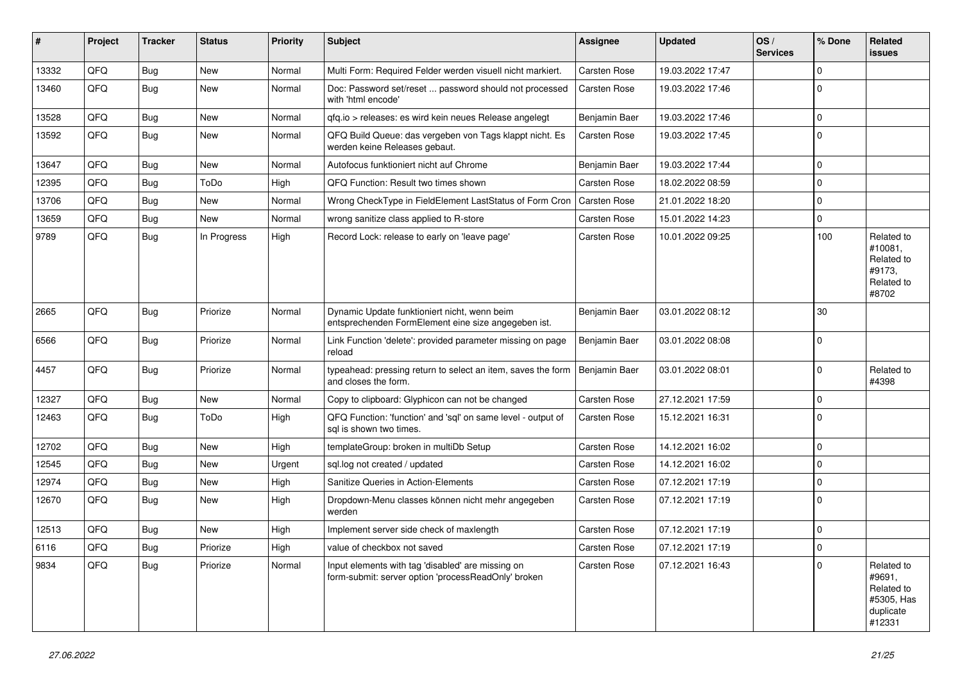| #     | Project | <b>Tracker</b> | <b>Status</b> | <b>Priority</b> | <b>Subject</b>                                                                                           | <b>Assignee</b>     | <b>Updated</b>   | OS/<br><b>Services</b> | % Done | <b>Related</b><br><b>issues</b>                                         |
|-------|---------|----------------|---------------|-----------------|----------------------------------------------------------------------------------------------------------|---------------------|------------------|------------------------|--------|-------------------------------------------------------------------------|
| 13332 | QFQ     | Bug            | New           | Normal          | Multi Form: Required Felder werden visuell nicht markiert.                                               | <b>Carsten Rose</b> | 19.03.2022 17:47 |                        | 0      |                                                                         |
| 13460 | QFQ     | <b>Bug</b>     | <b>New</b>    | Normal          | Doc: Password set/reset  password should not processed<br>with 'html encode'                             | Carsten Rose        | 19.03.2022 17:46 |                        | 0      |                                                                         |
| 13528 | QFQ     | Bug            | New           | Normal          | qfq.io > releases: es wird kein neues Release angelegt                                                   | Benjamin Baer       | 19.03.2022 17:46 |                        | 0      |                                                                         |
| 13592 | QFQ     | <b>Bug</b>     | <b>New</b>    | Normal          | QFQ Build Queue: das vergeben von Tags klappt nicht. Es<br>werden keine Releases gebaut.                 | Carsten Rose        | 19.03.2022 17:45 |                        | 0      |                                                                         |
| 13647 | QFQ     | Bug            | New           | Normal          | Autofocus funktioniert nicht auf Chrome                                                                  | Benjamin Baer       | 19.03.2022 17:44 |                        | 0      |                                                                         |
| 12395 | QFQ     | <b>Bug</b>     | ToDo          | High            | QFQ Function: Result two times shown                                                                     | Carsten Rose        | 18.02.2022 08:59 |                        | 0      |                                                                         |
| 13706 | QFQ     | <b>Bug</b>     | <b>New</b>    | Normal          | Wrong CheckType in FieldElement LastStatus of Form Cron                                                  | Carsten Rose        | 21.01.2022 18:20 |                        | 0      |                                                                         |
| 13659 | QFQ     | <b>Bug</b>     | <b>New</b>    | Normal          | wrong sanitize class applied to R-store                                                                  | Carsten Rose        | 15.01.2022 14:23 |                        | 0      |                                                                         |
| 9789  | QFQ     | Bug            | In Progress   | High            | Record Lock: release to early on 'leave page'                                                            | Carsten Rose        | 10.01.2022 09:25 |                        | 100    | Related to<br>#10081.<br>Related to<br>#9173,<br>Related to<br>#8702    |
| 2665  | QFQ     | <b>Bug</b>     | Priorize      | Normal          | Dynamic Update funktioniert nicht, wenn beim<br>entsprechenden FormElement eine size angegeben ist.      | Benjamin Baer       | 03.01.2022 08:12 |                        | 30     |                                                                         |
| 6566  | QFQ     | <b>Bug</b>     | Priorize      | Normal          | Link Function 'delete': provided parameter missing on page<br>reload                                     | Benjamin Baer       | 03.01.2022 08:08 |                        | 0      |                                                                         |
| 4457  | QFQ     | <b>Bug</b>     | Priorize      | Normal          | typeahead: pressing return to select an item, saves the form<br>and closes the form.                     | Benjamin Baer       | 03.01.2022 08:01 |                        | 0      | Related to<br>#4398                                                     |
| 12327 | QFQ     | <b>Bug</b>     | <b>New</b>    | Normal          | Copy to clipboard: Glyphicon can not be changed                                                          | Carsten Rose        | 27.12.2021 17:59 |                        | 0      |                                                                         |
| 12463 | QFQ     | Bug            | ToDo          | High            | QFQ Function: 'function' and 'sql' on same level - output of<br>sal is shown two times.                  | Carsten Rose        | 15.12.2021 16:31 |                        | 0      |                                                                         |
| 12702 | QFQ     | <b>Bug</b>     | New           | High            | templateGroup: broken in multiDb Setup                                                                   | Carsten Rose        | 14.12.2021 16:02 |                        | 0      |                                                                         |
| 12545 | QFQ     | Bug            | <b>New</b>    | Urgent          | sql.log not created / updated                                                                            | Carsten Rose        | 14.12.2021 16:02 |                        | 0      |                                                                         |
| 12974 | QFQ     | <b>Bug</b>     | <b>New</b>    | High            | Sanitize Queries in Action-Elements                                                                      | Carsten Rose        | 07.12.2021 17:19 |                        | 0      |                                                                         |
| 12670 | QFQ     | <b>Bug</b>     | <b>New</b>    | High            | Dropdown-Menu classes können nicht mehr angegeben<br>werden                                              | Carsten Rose        | 07.12.2021 17:19 |                        | 0      |                                                                         |
| 12513 | QFQ     | <b>Bug</b>     | <b>New</b>    | High            | Implement server side check of maxlength                                                                 | Carsten Rose        | 07.12.2021 17:19 |                        | 0      |                                                                         |
| 6116  | QFQ     | <b>Bug</b>     | Priorize      | High            | value of checkbox not saved                                                                              | Carsten Rose        | 07.12.2021 17:19 |                        | 0      |                                                                         |
| 9834  | QFQ     | <b>Bug</b>     | Priorize      | Normal          | Input elements with tag 'disabled' are missing on<br>form-submit: server option 'processReadOnly' broken | Carsten Rose        | 07.12.2021 16:43 |                        | 0      | Related to<br>#9691,<br>Related to<br>#5305, Has<br>duplicate<br>#12331 |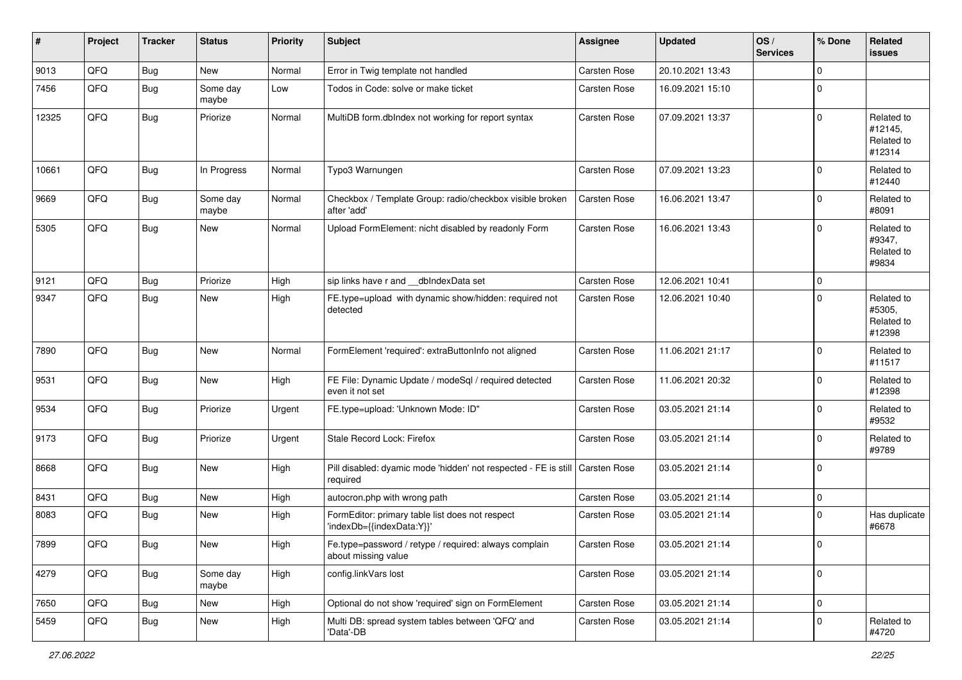| #     | Project | <b>Tracker</b> | <b>Status</b>     | <b>Priority</b> | <b>Subject</b>                                                               | <b>Assignee</b>     | <b>Updated</b>   | OS/<br><b>Services</b> | % Done   | Related<br><b>issues</b>                      |
|-------|---------|----------------|-------------------|-----------------|------------------------------------------------------------------------------|---------------------|------------------|------------------------|----------|-----------------------------------------------|
| 9013  | QFQ     | Bug            | New               | Normal          | Error in Twig template not handled                                           | <b>Carsten Rose</b> | 20.10.2021 13:43 |                        | 0        |                                               |
| 7456  | QFQ     | <b>Bug</b>     | Some day<br>maybe | Low             | Todos in Code: solve or make ticket                                          | Carsten Rose        | 16.09.2021 15:10 |                        | 0        |                                               |
| 12325 | QFQ     | Bug            | Priorize          | Normal          | MultiDB form.dblndex not working for report syntax                           | Carsten Rose        | 07.09.2021 13:37 |                        | 0        | Related to<br>#12145,<br>Related to<br>#12314 |
| 10661 | QFQ     | Bug            | In Progress       | Normal          | Typo3 Warnungen                                                              | <b>Carsten Rose</b> | 07.09.2021 13:23 |                        | 0        | Related to<br>#12440                          |
| 9669  | QFQ     | Bug            | Some day<br>maybe | Normal          | Checkbox / Template Group: radio/checkbox visible broken<br>after 'add'      | Carsten Rose        | 16.06.2021 13:47 |                        | 0        | Related to<br>#8091                           |
| 5305  | QFQ     | Bug            | New               | Normal          | Upload FormElement: nicht disabled by readonly Form                          | Carsten Rose        | 16.06.2021 13:43 |                        | 0        | Related to<br>#9347.<br>Related to<br>#9834   |
| 9121  | QFQ     | <b>Bug</b>     | Priorize          | High            | sip links have r and __dbIndexData set                                       | Carsten Rose        | 12.06.2021 10:41 |                        | 0        |                                               |
| 9347  | QFQ     | <b>Bug</b>     | New               | High            | FE.type=upload with dynamic show/hidden: required not<br>detected            | Carsten Rose        | 12.06.2021 10:40 |                        | 0        | Related to<br>#5305,<br>Related to<br>#12398  |
| 7890  | QFQ     | Bug            | New               | Normal          | FormElement 'required': extraButtonInfo not aligned                          | Carsten Rose        | 11.06.2021 21:17 |                        | 0        | Related to<br>#11517                          |
| 9531  | QFQ     | <b>Bug</b>     | New               | High            | FE File: Dynamic Update / modeSql / required detected<br>even it not set     | Carsten Rose        | 11.06.2021 20:32 |                        | 0        | Related to<br>#12398                          |
| 9534  | QFQ     | <b>Bug</b>     | Priorize          | Urgent          | FE.type=upload: 'Unknown Mode: ID"                                           | Carsten Rose        | 03.05.2021 21:14 |                        | 0        | Related to<br>#9532                           |
| 9173  | QFQ     | Bug            | Priorize          | Urgent          | Stale Record Lock: Firefox                                                   | Carsten Rose        | 03.05.2021 21:14 |                        | 0        | Related to<br>#9789                           |
| 8668  | QFQ     | Bug            | New               | High            | Pill disabled: dyamic mode 'hidden' not respected - FE is still<br>required  | Carsten Rose        | 03.05.2021 21:14 |                        | $\Omega$ |                                               |
| 8431  | QFQ     | Bug            | <b>New</b>        | High            | autocron.php with wrong path                                                 | Carsten Rose        | 03.05.2021 21:14 |                        | 0        |                                               |
| 8083  | QFQ     | Bug            | New               | High            | FormEditor: primary table list does not respect<br>'indexDb={{indexData:Y}}' | Carsten Rose        | 03.05.2021 21:14 |                        | 0        | Has duplicate<br>#6678                        |
| 7899  | QFQ     | Bug            | New               | High            | Fe.type=password / retype / required: always complain<br>about missing value | Carsten Rose        | 03.05.2021 21:14 |                        | 0        |                                               |
| 4279  | QFQ     | Bug            | Some day<br>maybe | High            | config.linkVars lost                                                         | Carsten Rose        | 03.05.2021 21:14 |                        | 0        |                                               |
| 7650  | QFQ     | <b>Bug</b>     | New               | High            | Optional do not show 'required' sign on FormElement                          | Carsten Rose        | 03.05.2021 21:14 |                        | 0        |                                               |
| 5459  | QFQ     | <b>Bug</b>     | New               | High            | Multi DB: spread system tables between 'QFQ' and<br>'Data'-DB                | Carsten Rose        | 03.05.2021 21:14 |                        | 0        | Related to<br>#4720                           |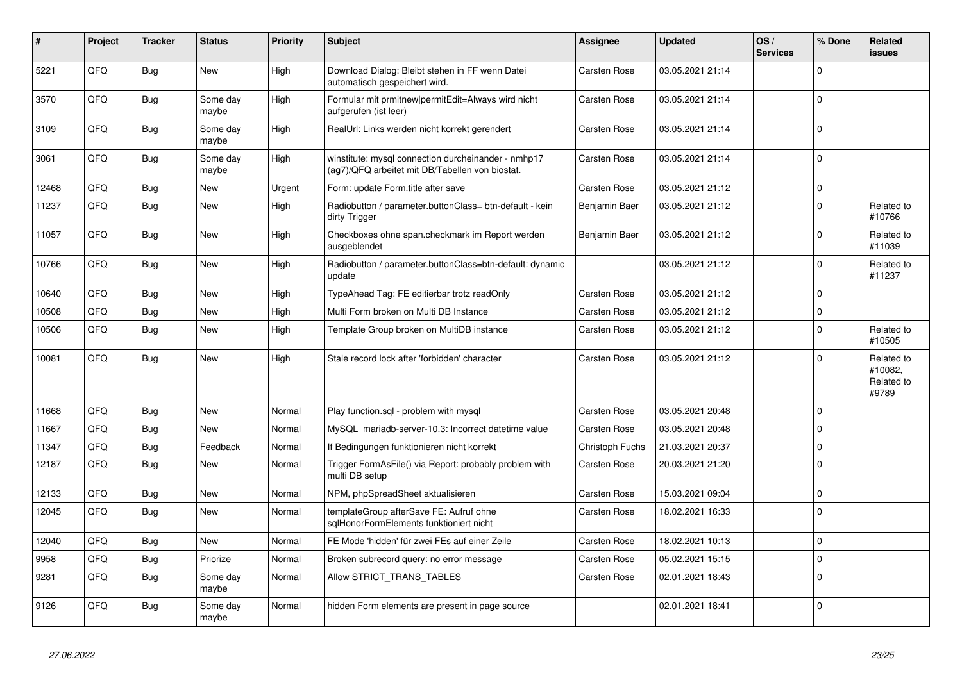| #     | Project | <b>Tracker</b> | <b>Status</b>     | <b>Priority</b> | <b>Subject</b>                                                                                         | <b>Assignee</b> | <b>Updated</b>   | OS/<br><b>Services</b> | % Done      | Related<br>issues                            |
|-------|---------|----------------|-------------------|-----------------|--------------------------------------------------------------------------------------------------------|-----------------|------------------|------------------------|-------------|----------------------------------------------|
| 5221  | QFQ     | Bug            | <b>New</b>        | High            | Download Dialog: Bleibt stehen in FF wenn Datei<br>automatisch gespeichert wird.                       | Carsten Rose    | 03.05.2021 21:14 |                        | $\Omega$    |                                              |
| 3570  | QFQ     | Bug            | Some dav<br>maybe | High            | Formular mit prmitnew permitEdit=Always wird nicht<br>aufgerufen (ist leer)                            | Carsten Rose    | 03.05.2021 21:14 |                        | $\mathbf 0$ |                                              |
| 3109  | QFQ     | Bug            | Some day<br>maybe | High            | RealUrl: Links werden nicht korrekt gerendert                                                          | Carsten Rose    | 03.05.2021 21:14 |                        | $\Omega$    |                                              |
| 3061  | QFQ     | <b>Bug</b>     | Some day<br>maybe | High            | winstitute: mysql connection durcheinander - nmhp17<br>(ag7)/QFQ arbeitet mit DB/Tabellen von biostat. | Carsten Rose    | 03.05.2021 21:14 |                        | $\mathbf 0$ |                                              |
| 12468 | QFQ     | Bug            | <b>New</b>        | Urgent          | Form: update Form.title after save                                                                     | Carsten Rose    | 03.05.2021 21:12 |                        | $\mathbf 0$ |                                              |
| 11237 | QFQ     | <b>Bug</b>     | <b>New</b>        | High            | Radiobutton / parameter.buttonClass= btn-default - kein<br>dirty Trigger                               | Benjamin Baer   | 03.05.2021 21:12 |                        | $\mathbf 0$ | Related to<br>#10766                         |
| 11057 | QFQ     | <b>Bug</b>     | New               | High            | Checkboxes ohne span.checkmark im Report werden<br>ausgeblendet                                        | Benjamin Baer   | 03.05.2021 21:12 |                        | $\mathbf 0$ | Related to<br>#11039                         |
| 10766 | QFQ     | Bug            | New               | High            | Radiobutton / parameter.buttonClass=btn-default: dynamic<br>update                                     |                 | 03.05.2021 21:12 |                        | $\Omega$    | Related to<br>#11237                         |
| 10640 | QFQ     | <b>Bug</b>     | <b>New</b>        | High            | TypeAhead Tag: FE editierbar trotz readOnly                                                            | Carsten Rose    | 03.05.2021 21:12 |                        | $\Omega$    |                                              |
| 10508 | QFQ     | Bug            | New               | High            | Multi Form broken on Multi DB Instance                                                                 | Carsten Rose    | 03.05.2021 21:12 |                        | $\mathbf 0$ |                                              |
| 10506 | QFQ     | Bug            | New               | High            | Template Group broken on MultiDB instance                                                              | Carsten Rose    | 03.05.2021 21:12 |                        | $\mathbf 0$ | Related to<br>#10505                         |
| 10081 | QFQ     | Bug            | <b>New</b>        | High            | Stale record lock after 'forbidden' character                                                          | Carsten Rose    | 03.05.2021 21:12 |                        | $\Omega$    | Related to<br>#10082,<br>Related to<br>#9789 |
| 11668 | QFQ     | <b>Bug</b>     | New               | Normal          | Play function.sql - problem with mysql                                                                 | Carsten Rose    | 03.05.2021 20:48 |                        | $\Omega$    |                                              |
| 11667 | QFQ     | Bug            | <b>New</b>        | Normal          | MySQL mariadb-server-10.3: Incorrect datetime value                                                    | Carsten Rose    | 03.05.2021 20:48 |                        | $\mathbf 0$ |                                              |
| 11347 | QFQ     | <b>Bug</b>     | Feedback          | Normal          | If Bedingungen funktionieren nicht korrekt                                                             | Christoph Fuchs | 21.03.2021 20:37 |                        | $\Omega$    |                                              |
| 12187 | QFQ     | Bug            | New               | Normal          | Trigger FormAsFile() via Report: probably problem with<br>multi DB setup                               | Carsten Rose    | 20.03.2021 21:20 |                        | $\Omega$    |                                              |
| 12133 | QFQ     | <b>Bug</b>     | New               | Normal          | NPM, phpSpreadSheet aktualisieren                                                                      | Carsten Rose    | 15.03.2021 09:04 |                        | $\mathbf 0$ |                                              |
| 12045 | QFQ     | Bug            | New               | Normal          | templateGroup afterSave FE: Aufruf ohne<br>sglHonorFormElements funktioniert nicht                     | Carsten Rose    | 18.02.2021 16:33 |                        | $\Omega$    |                                              |
| 12040 | QFQ     | Bug            | <b>New</b>        | Normal          | FE Mode 'hidden' für zwei FEs auf einer Zeile                                                          | Carsten Rose    | 18.02.2021 10:13 |                        | $\mathbf 0$ |                                              |
| 9958  | QFQ     | Bug            | Priorize          | Normal          | Broken subrecord query: no error message                                                               | Carsten Rose    | 05.02.2021 15:15 |                        | $\mathbf 0$ |                                              |
| 9281  | QFQ     | <b>Bug</b>     | Some day<br>maybe | Normal          | Allow STRICT_TRANS_TABLES                                                                              | Carsten Rose    | 02.01.2021 18:43 |                        | $\Omega$    |                                              |
| 9126  | QFQ     | Bug            | Some day<br>maybe | Normal          | hidden Form elements are present in page source                                                        |                 | 02.01.2021 18:41 |                        | $\mathbf 0$ |                                              |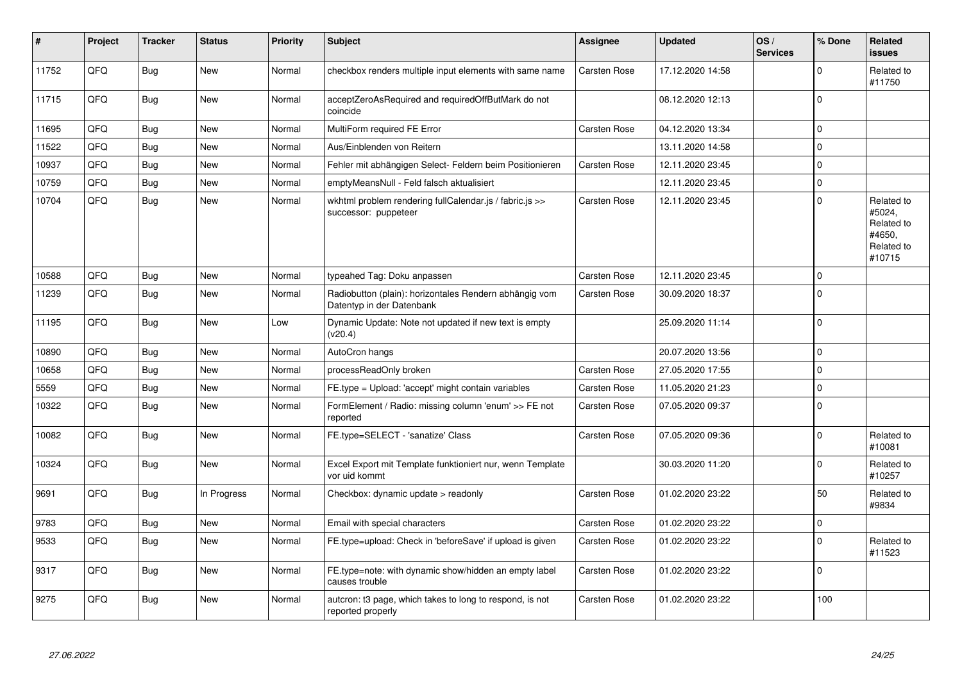| #     | Project | <b>Tracker</b> | <b>Status</b> | <b>Priority</b> | <b>Subject</b>                                                                      | Assignee            | <b>Updated</b>   | OS/<br><b>Services</b> | % Done      | Related<br><b>issues</b>                                             |
|-------|---------|----------------|---------------|-----------------|-------------------------------------------------------------------------------------|---------------------|------------------|------------------------|-------------|----------------------------------------------------------------------|
| 11752 | QFQ     | <b>Bug</b>     | <b>New</b>    | Normal          | checkbox renders multiple input elements with same name                             | <b>Carsten Rose</b> | 17.12.2020 14:58 |                        | $\Omega$    | Related to<br>#11750                                                 |
| 11715 | QFQ     | Bug            | <b>New</b>    | Normal          | acceptZeroAsRequired and requiredOffButMark do not<br>coincide                      |                     | 08.12.2020 12:13 |                        | $\Omega$    |                                                                      |
| 11695 | QFQ     | <b>Bug</b>     | <b>New</b>    | Normal          | MultiForm required FE Error                                                         | Carsten Rose        | 04.12.2020 13:34 |                        | $\mathbf 0$ |                                                                      |
| 11522 | QFQ     | <b>Bug</b>     | <b>New</b>    | Normal          | Aus/Einblenden von Reitern                                                          |                     | 13.11.2020 14:58 |                        | 0           |                                                                      |
| 10937 | QFQ     | <b>Bug</b>     | <b>New</b>    | Normal          | Fehler mit abhängigen Select- Feldern beim Positionieren                            | Carsten Rose        | 12.11.2020 23:45 |                        | $\mathbf 0$ |                                                                      |
| 10759 | QFQ     | Bug            | <b>New</b>    | Normal          | emptyMeansNull - Feld falsch aktualisiert                                           |                     | 12.11.2020 23:45 |                        | 0           |                                                                      |
| 10704 | QFQ     | <b>Bug</b>     | <b>New</b>    | Normal          | wkhtml problem rendering fullCalendar.js / fabric.js >><br>successor: puppeteer     | <b>Carsten Rose</b> | 12.11.2020 23:45 |                        | 0           | Related to<br>#5024,<br>Related to<br>#4650.<br>Related to<br>#10715 |
| 10588 | QFQ     | <b>Bug</b>     | <b>New</b>    | Normal          | typeahed Tag: Doku anpassen                                                         | Carsten Rose        | 12.11.2020 23:45 |                        | 0           |                                                                      |
| 11239 | QFQ     | <b>Bug</b>     | <b>New</b>    | Normal          | Radiobutton (plain): horizontales Rendern abhängig vom<br>Datentyp in der Datenbank | Carsten Rose        | 30.09.2020 18:37 |                        | 0           |                                                                      |
| 11195 | QFQ     | <b>Bug</b>     | New           | Low             | Dynamic Update: Note not updated if new text is empty<br>(v20.4)                    |                     | 25.09.2020 11:14 |                        | $\Omega$    |                                                                      |
| 10890 | QFQ     | Bug            | <b>New</b>    | Normal          | AutoCron hangs                                                                      |                     | 20.07.2020 13:56 |                        | $\mathbf 0$ |                                                                      |
| 10658 | QFQ     | <b>Bug</b>     | <b>New</b>    | Normal          | processReadOnly broken                                                              | Carsten Rose        | 27.05.2020 17:55 |                        | $\mathbf 0$ |                                                                      |
| 5559  | QFQ     | <b>Bug</b>     | <b>New</b>    | Normal          | FE.type = Upload: 'accept' might contain variables                                  | Carsten Rose        | 11.05.2020 21:23 |                        | 0           |                                                                      |
| 10322 | QFQ     | Bug            | New           | Normal          | FormElement / Radio: missing column 'enum' >> FE not<br>reported                    | <b>Carsten Rose</b> | 07.05.2020 09:37 |                        | 0           |                                                                      |
| 10082 | QFQ     | Bug            | <b>New</b>    | Normal          | FE.type=SELECT - 'sanatize' Class                                                   | Carsten Rose        | 07.05.2020 09:36 |                        | $\Omega$    | Related to<br>#10081                                                 |
| 10324 | QFQ     | <b>Bug</b>     | <b>New</b>    | Normal          | Excel Export mit Template funktioniert nur, wenn Template<br>vor uid kommt          |                     | 30.03.2020 11:20 |                        | 0           | Related to<br>#10257                                                 |
| 9691  | QFQ     | Bug            | In Progress   | Normal          | Checkbox: dynamic update > readonly                                                 | Carsten Rose        | 01.02.2020 23:22 |                        | 50          | Related to<br>#9834                                                  |
| 9783  | QFQ     | Bug            | <b>New</b>    | Normal          | Email with special characters                                                       | <b>Carsten Rose</b> | 01.02.2020 23:22 |                        | $\pmb{0}$   |                                                                      |
| 9533  | QFQ     | Bug            | <b>New</b>    | Normal          | FE.type=upload: Check in 'beforeSave' if upload is given                            | <b>Carsten Rose</b> | 01.02.2020 23:22 |                        | $\Omega$    | Related to<br>#11523                                                 |
| 9317  | QFQ     | <b>Bug</b>     | <b>New</b>    | Normal          | FE.type=note: with dynamic show/hidden an empty label<br>causes trouble             | Carsten Rose        | 01.02.2020 23:22 |                        | $\mathbf 0$ |                                                                      |
| 9275  | QFQ     | Bug            | <b>New</b>    | Normal          | auteron: t3 page, which takes to long to respond, is not<br>reported properly       | Carsten Rose        | 01.02.2020 23:22 |                        | 100         |                                                                      |